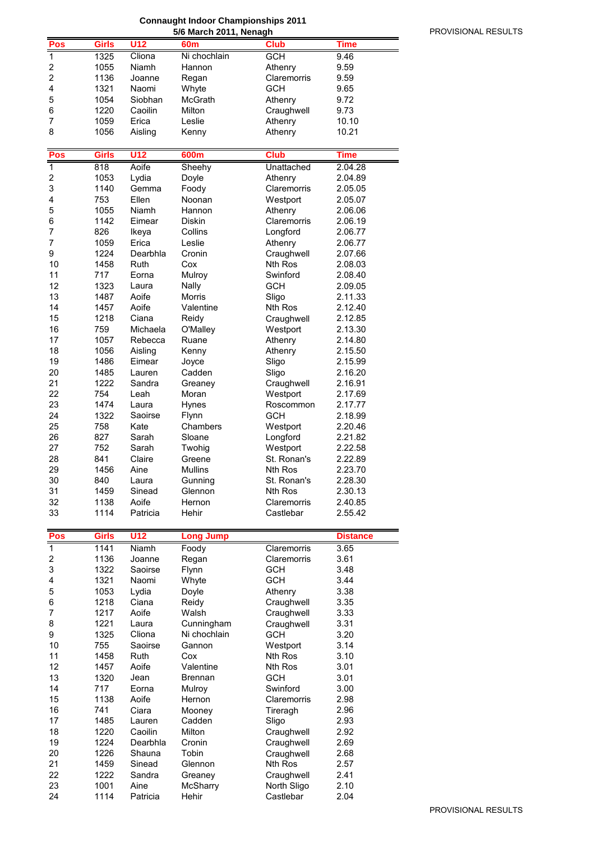# **Connaught Indoor Championships 2011**

|                              |              |                 | 5/6 March 2011, Nenagh |                |                 |
|------------------------------|--------------|-----------------|------------------------|----------------|-----------------|
| Pos                          | <b>Girls</b> | U12             | 60 <sub>m</sub>        | <b>Club</b>    | <b>Time</b>     |
| $\overline{1}$               | 1325         | Cliona          | Ni chochlain           | <b>GCH</b>     | 9.46            |
| 2                            | 1055         | Niamh           | Hannon                 | Athenry        | 9.59            |
| $\overline{2}$               | 1136         | Joanne          | Regan                  | Claremorris    | 9.59            |
| 4                            | 1321         | Naomi           | Whyte                  | <b>GCH</b>     | 9.65            |
| 5                            | 1054         | Siobhan         | <b>McGrath</b>         | Athenry        | 9.72            |
| 6                            | 1220         | Caoilin         | Milton                 | Craughwell     | 9.73            |
| 7                            | 1059         | Erica           | Leslie                 |                | 10.10           |
| 8                            |              |                 |                        | Athenry        |                 |
|                              | 1056         | Aisling         | Kenny                  | Athenry        | 10.21           |
|                              |              |                 |                        |                |                 |
| Pos                          | <b>Girls</b> | <b>U12</b>      | 600m                   | <b>Club</b>    | Time            |
| $\mathbf 1$                  | 818          | Aoife           | Sheehy                 | Unattached     | 2.04.28         |
| $\overline{\mathbf{c}}$      | 1053         | Lydia           | Doyle                  | Athenry        | 2.04.89         |
| 3                            | 1140         | Gemma           | Foody                  | Claremorris    | 2.05.05         |
| 4                            | 753          | Ellen           | Noonan                 | Westport       | 2.05.07         |
| 5                            | 1055         | Niamh           | Hannon                 | Athenry        | 2.06.06         |
| 6                            | 1142         | Eimear          | Diskin                 | Claremorris    | 2.06.19         |
| 7                            | 826          | Ikeya           | Collins                | Longford       | 2.06.77         |
| 7                            | 1059         | Erica           | Leslie                 | Athenry        | 2.06.77         |
| 9                            | 1224         | Dearbhla        | Cronin                 | Craughwell     | 2.07.66         |
| 10                           | 1458         | Ruth            | Cox                    | Nth Ros        | 2.08.03         |
| 11                           | 717          | Eorna           | Mulroy                 | Swinford       | 2.08.40         |
| 12                           | 1323         | Laura           | Nally                  | GCH            | 2.09.05         |
| 13                           | 1487         | Aoife           | Morris                 | Sligo          | 2.11.33         |
| 14                           | 1457         | Aoife           | Valentine              | <b>Nth Ros</b> | 2.12.40         |
| 15                           | 1218         | Ciana           | Reidy                  |                | 2.12.85         |
|                              |              | Michaela        |                        | Craughwell     |                 |
| 16                           | 759          |                 | O'Malley               | Westport       | 2.13.30         |
| 17                           | 1057         | Rebecca         | Ruane                  | Athenry        | 2.14.80         |
| 18                           | 1056         | Aisling         | Kenny                  | Athenry        | 2.15.50         |
| 19                           | 1486         | Eimear          | Joyce                  | Sligo          | 2.15.99         |
| 20                           | 1485         | Lauren          | Cadden                 | Sligo          | 2.16.20         |
| 21                           | 1222         | Sandra          | Greaney                | Craughwell     | 2.16.91         |
| 22                           | 754          | Leah            | Moran                  | Westport       | 2.17.69         |
| 23                           | 1474         | Laura           | Hynes                  | Roscommon      | 2.17.77         |
| 24                           | 1322         | Saoirse         | Flynn                  | GCH            | 2.18.99         |
| 25                           | 758          | Kate            | Chambers               | Westport       | 2.20.46         |
| 26                           | 827          | Sarah           | Sloane                 | Longford       | 2.21.82         |
| 27                           | 752          | Sarah           | Twohig                 | Westport       | 2.22.58         |
| 28                           | 841          | Claire          | Greene                 | St. Ronan's    | 2.22.89         |
| 29                           | 1456         | Aine            | <b>Mullins</b>         | Nth Ros        | 2.23.70         |
| 30                           | 840          | Laura           | Gunning                | St. Ronan's    | 2.28.30         |
| 31                           | 1459         | Sinead          | Glennon                | Nth Ros        | 2.30.13         |
| 32                           | 1138         | Aoife           | Hernon                 | Claremorris    | 2.40.85         |
| 33                           | 1114         | Patricia        | Hehir                  | Castlebar      | 2.55.42         |
|                              |              |                 |                        |                |                 |
| Pos                          | <b>Girls</b> | U <sub>12</sub> | <b>Long Jump</b>       |                | <b>Distance</b> |
| $\mathbf 1$                  | 1141         | Niamh           | Foody                  | Claremorris    | 3.65            |
|                              |              |                 |                        | Claremorris    |                 |
| $\overline{\mathbf{c}}$<br>3 | 1136         | Joanne          | Regan                  |                | 3.61            |
|                              | 1322         | Saoirse         | Flynn                  | <b>GCH</b>     | 3.48            |
| 4                            | 1321         | Naomi           | Whyte                  | <b>GCH</b>     | 3.44            |
| 5                            | 1053         | Lydia           | Doyle                  | Athenry        | 3.38            |
| 6                            | 1218         | Ciana           | Reidy                  | Craughwell     | 3.35            |
| 7                            | 1217         | Aoife           | Walsh                  | Craughwell     | 3.33            |
| 8                            | 1221         | Laura           | Cunningham             | Craughwell     | 3.31            |
| 9                            | 1325         | Cliona          | Ni chochlain           | <b>GCH</b>     | 3.20            |
| 10                           | 755          | Saoirse         | Gannon                 | Westport       | 3.14            |
| 11                           | 1458         | Ruth            | Cox                    | Nth Ros        | 3.10            |
| 12                           | 1457         | Aoife           | Valentine              | Nth Ros        | 3.01            |
| 13                           | 1320         | Jean            | <b>Brennan</b>         | <b>GCH</b>     | 3.01            |
| 14                           | 717          | Eorna           | Mulroy                 | Swinford       | 3.00            |
| 15                           | 1138         | Aoife           | Hernon                 | Claremorris    | 2.98            |
| 16                           | 741          | Ciara           | Mooney                 | Tireragh       | 2.96            |
| 17                           | 1485         | Lauren          | Cadden                 | Sligo          | 2.93            |
| 18                           | 1220         | Caoilin         | Milton                 | Craughwell     | 2.92            |
| 19                           | 1224         | Dearbhla        | Cronin                 | Craughwell     | 2.69            |
| 20                           | 1226         | Shauna          | Tobin                  | Craughwell     | 2.68            |
| 21                           | 1459         | Sinead          | Glennon                | Nth Ros        | 2.57            |
| 22                           | 1222         | Sandra          | Greaney                | Craughwell     | 2.41            |
|                              |              |                 |                        |                |                 |
| 23                           | 1001         | Aine            | McSharry               | North Sligo    | 2.10            |
| 24                           | 1114         | Patricia        | Hehir                  | Castlebar      | 2.04            |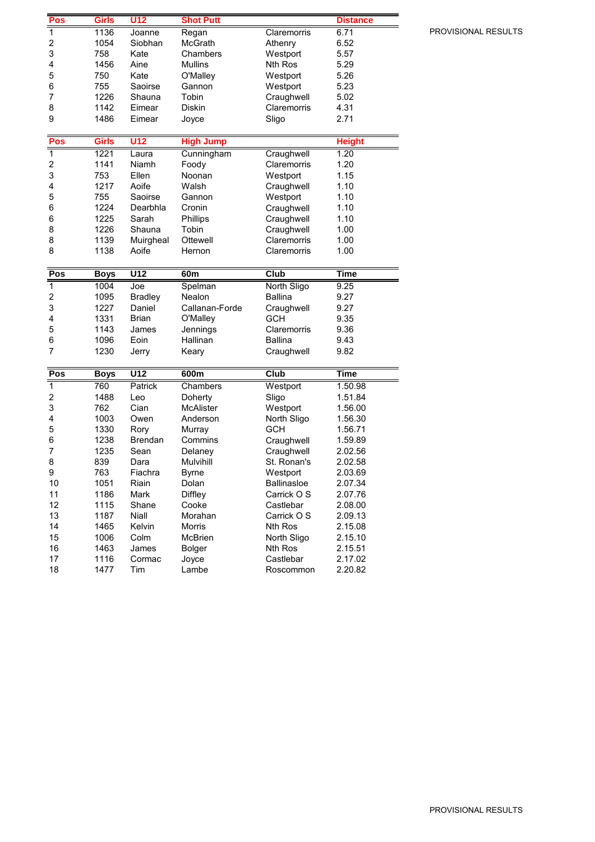| Pos                     | Girls        | U12              | <b>Shot Putt</b> |                        | <b>Distance</b>    |
|-------------------------|--------------|------------------|------------------|------------------------|--------------------|
| 1                       | 1136         | Joanne           | Regan            | Claremorris            | 6.71               |
| $\overline{\mathbf{c}}$ | 1054         | Siobhan          | <b>McGrath</b>   | Athenry                | 6.52               |
| 3                       | 758          | Kate             | Chambers         | Westport               | 5.57               |
| 4                       | 1456         | Aine             | <b>Mullins</b>   | Nth Ros                | 5.29               |
| 5                       | 750          | Kate             | O'Malley         | Westport               | 5.26               |
| 6                       | 755          | Saoirse          | Gannon           | Westport               | 5.23               |
| 7                       | 1226         | Shauna           | Tobin            | Craughwell             | 5.02               |
| 8                       | 1142         | Eimear           | Diskin           | Claremorris            | 4.31               |
| 9                       | 1486         | Eimear           | Joyce            | Sligo                  | 2.71               |
|                         |              |                  |                  |                        |                    |
| Pos                     | Girls        | U12              | <b>High Jump</b> |                        | <b>Height</b>      |
| $\overline{\mathbf{1}}$ | 1221         | Laura            | Cunningham       | Craughwell             | 1.20               |
| $\overline{\mathbf{c}}$ | 1141         | Niamh            | Foody            | Claremorris            | 1.20               |
| 3                       | 753          | Ellen            | Noonan           | Westport               | 1.15               |
| 4                       | 1217         | Aoife            | Walsh            | Craughwell             | 1.10               |
| 5                       | 755          | Saoirse          | Gannon           | Westport               | 1.10               |
| 6                       | 1224         | Dearbhla         | Cronin           | Craughwell             | 1.10               |
| 6                       | 1225         | Sarah            | Phillips         | Craughwell             | 1.10               |
| 8                       | 1226         | Shauna           | Tobin            | Craughwell             | 1.00               |
| 8                       | 1139         | Muirgheal        | Ottewell         | Claremorris            | 1.00               |
| 8                       | 1138         | Aoife            | Hernon           | Claremorris            | 1.00               |
|                         |              |                  |                  |                        |                    |
| Pos                     | <b>Boys</b>  | U <sub>12</sub>  | 60m              | <b>Club</b>            | <b>Time</b>        |
| $\overline{1}$          | 1004         | Joe              | Spelman          | North Sligo            | 9.25               |
| 2                       | 1095         | <b>Bradley</b>   | Nealon           | <b>Ballina</b>         | 9.27               |
| 3                       | 1227         | Daniel           | Callanan-Forde   | Craughwell             | 9.27               |
| 4                       | 1331         | <b>Brian</b>     | O'Malley         | <b>GCH</b>             | 9.35               |
| 5                       | 1143         | James            | Jennings         | Claremorris            | 9.36               |
| 6                       | 1096         | Eoin             | Hallinan         | <b>Ballina</b>         | 9.43               |
| 7                       | 1230         | Jerry            | Keary            | Craughwell             | 9.82               |
|                         |              |                  |                  |                        |                    |
| Pos                     | <b>Boys</b>  | $\overline{U12}$ | 600m             | Club                   | <b>Time</b>        |
| 1                       | 760          | Patrick          | Chambers         | Westport               | 1.50.98            |
| $\overline{\mathbf{c}}$ | 1488         | Leo              | Doherty          | Sligo                  | 1.51.84            |
| 3                       | 762          | Cian             | <b>McAlister</b> | Westport               | 1.56.00            |
| 4                       | 1003         | Owen             | Anderson         | North Sligo            | 1.56.30            |
| 5                       | 1330         | Rory             | Murray           | <b>GCH</b>             | 1.56.71            |
| 6                       | 1238         | <b>Brendan</b>   | Commins          | Craughwell             | 1.59.89            |
| 7                       | 1235         | Sean             | Delaney          | Craughwell             | 2.02.56            |
| 8                       | 839          | Dara             | Mulvihill        | St. Ronan's            | 2.02.58            |
| 9                       | 763          | Fiachra          | <b>Byrne</b>     | Westport               | 2.03.69            |
| 10                      | 1051         | Riain            | Dolan            | <b>Ballinasloe</b>     | 2.07.34            |
| 11                      | 1186         | Mark             | <b>Diffley</b>   | Carrick O S            | 2.07.76            |
| 12                      | 1115         | Shane            | Cooke            | Castlebar              | 2.08.00            |
| 13                      | 1187         | Niall            | Morahan          | Carrick O S            | 2.09.13            |
| 14                      | 1465         | Kelvin           | Morris           | Nth Ros                | 2.15.08            |
| 15                      | 1006<br>1463 | Colm             | <b>McBrien</b>   | North Sligo            | 2.15.10            |
| 16                      |              | James            | <b>Bolger</b>    | Nth Ros                | 2.15.51            |
|                         |              |                  |                  |                        |                    |
| 17<br>18                | 1116<br>1477 | Cormac<br>Tim    | Joyce<br>Lambe   | Castlebar<br>Roscommon | 2.17.02<br>2.20.82 |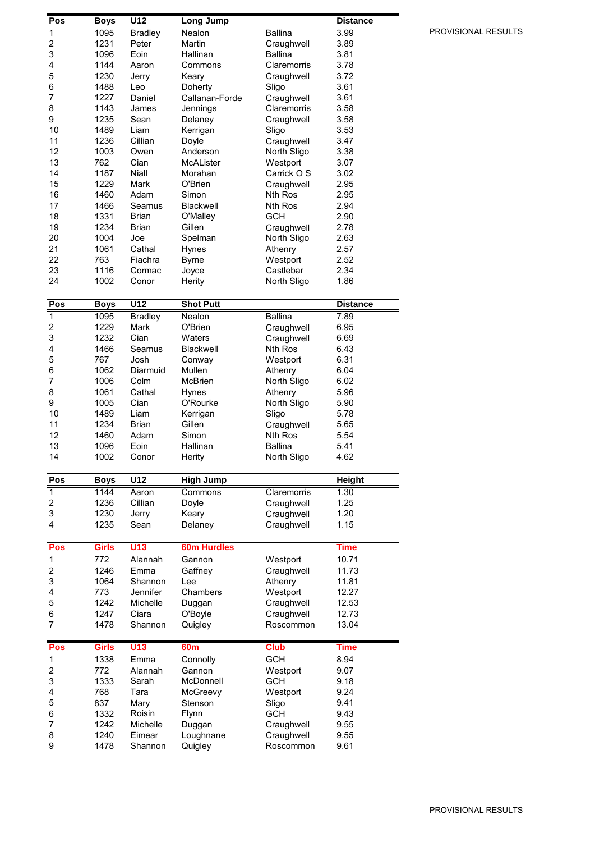| Pos                     | <b>Boys</b>  | U12               | <b>Long Jump</b>     |                               | <b>Distance</b> |
|-------------------------|--------------|-------------------|----------------------|-------------------------------|-----------------|
| $\mathbf 1$             | 1095         | <b>Bradley</b>    | Nealon               | <b>Ballina</b>                | 3.99            |
| $\overline{\mathbf{c}}$ | 1231         | Peter             | Martin               | Craughwell                    | 3.89            |
| 3                       | 1096         | Eoin              | Hallinan             | <b>Ballina</b>                | 3.81            |
| 4                       | 1144         | Aaron             | Commons              | Claremorris                   | 3.78            |
| 5                       | 1230         | Jerry             | Keary                | Craughwell                    | 3.72            |
| 6                       | 1488         | Leo               | Doherty              | Sligo                         | 3.61            |
| 7                       | 1227         | Daniel            | Callanan-Forde       | Craughwell                    | 3.61            |
| 8                       | 1143         | James             | Jennings             | Claremorris                   | 3.58            |
| 9<br>10                 | 1235<br>1489 | Sean<br>Liam      | Delaney              | Craughwell                    | 3.58            |
| 11                      | 1236         | Cillian           | Kerrigan<br>Doyle    | Sligo<br>Craughwell           | 3.53<br>3.47    |
| 12                      | 1003         | Owen              | Anderson             | North Sligo                   | 3.38            |
| 13                      | 762          | Cian              | McALister            | Westport                      | 3.07            |
| 14                      | 1187         | Niall             | Morahan              | Carrick O S                   | 3.02            |
| 15                      | 1229         | Mark              | O'Brien              | Craughwell                    | 2.95            |
| 16                      | 1460         | Adam              | Simon                | Nth Ros                       | 2.95            |
| 17                      | 1466         | Seamus            | Blackwell            | Nth Ros                       | 2.94            |
| 18                      | 1331         | <b>Brian</b>      | O'Malley             | <b>GCH</b>                    | 2.90            |
| 19                      | 1234         | <b>Brian</b>      | Gillen               | Craughwell                    | 2.78            |
| 20                      | 1004         | Joe               | Spelman              | North Sligo                   | 2.63            |
| 21                      | 1061         | Cathal            | Hynes                | Athenry                       | 2.57            |
| 22                      | 763          | Fiachra           | <b>Byrne</b>         | Westport                      | 2.52            |
| 23                      | 1116         | Cormac            | Joyce                | Castlebar                     | 2.34            |
| 24                      | 1002         | Conor             | Herity               | North Sligo                   | 1.86            |
| Pos                     | <b>Boys</b>  | U12               | <b>Shot Putt</b>     |                               | <b>Distance</b> |
| 1                       | 1095         | <b>Bradley</b>    | Nealon               | <b>Ballina</b>                | 7.89            |
| 2                       | 1229         | Mark              | O'Brien              | Craughwell                    | 6.95            |
| 3                       | 1232         | Cian              | Waters               | Craughwell                    | 6.69            |
| 4                       | 1466         | Seamus            | Blackwell            | Nth Ros                       | 6.43            |
| 5                       | 767          | Josh              | Conway               | Westport                      | 6.31            |
| 6                       | 1062         | Diarmuid          | Mullen               | Athenry                       | 6.04            |
| 7                       | 1006         | Colm              | McBrien              | North Sligo                   | 6.02            |
| 8                       | 1061         | Cathal            | Hynes                | Athenry                       | 5.96            |
|                         |              |                   |                      |                               |                 |
| 9                       | 1005         | Cian              | O'Rourke             | North Sligo                   | 5.90            |
| 10                      | 1489         | Liam              | Kerrigan             | Sligo                         | 5.78            |
| 11                      | 1234         | <b>Brian</b>      | Gillen               | Craughwell                    | 5.65            |
| 12                      | 1460         | Adam              | Simon                | Nth Ros                       | 5.54            |
| 13<br>14                | 1096<br>1002 | Eoin<br>Conor     | Hallinan<br>Herity   | <b>Ballina</b><br>North Sligo | 5.41<br>4.62    |
|                         |              |                   |                      |                               |                 |
| Pos                     | <b>Boys</b>  | $\overline{U12}$  | <b>High Jump</b>     |                               | <b>Height</b>   |
| 1                       | 1144         | Aaron             | Commons              | Claremorris                   | 1.30            |
| 2                       | 1236         | Cillian           | Doyle                | Craughwell                    | 1.25            |
| 3                       | 1230         | Jerry             | Keary                | Craughwell                    | 1.20            |
| 4                       | 1235         | Sean              | Delaney              | Craughwell                    | 1.15            |
| Pos                     | Girls        | U13               | <b>60m Hurdles</b>   |                               | <b>Time</b>     |
| $\overline{1}$          | 772          | Alannah           | Gannon               | Westport                      | 10.71           |
| 2                       | 1246         | Emma              | Gaffney              | Craughwell                    | 11.73           |
| 3                       | 1064         | Shannon           | Lee                  | Athenry                       | 11.81           |
| 4                       | 773          | Jennifer          | Chambers             | Westport                      | 12.27           |
| 5                       | 1242         | Michelle          | Duggan               | Craughwell                    | 12.53           |
| 6                       | 1247         | Ciara             | O'Boyle              | Craughwell                    | 12.73           |
| 7                       | 1478         | Shannon           | Quigley              | Roscommon                     | 13.04           |
| Pos                     | Girls        | U13               | 60m                  | <b>Club</b>                   | <b>Time</b>     |
| 1                       | 1338         | Emma              | Connolly             | <b>GCH</b>                    | 8.94            |
| 2                       | 772          | Alannah           | Gannon               | Westport                      | 9.07            |
| 3                       | 1333         | Sarah             | McDonnell            | GCH                           | 9.18            |
| 4                       | 768          | Tara              | McGreevy             | Westport                      | 9.24            |
| 5                       | 837          | Mary              | Stenson              | Sligo                         | 9.41            |
| 6                       | 1332         | Roisin            | Flynn                | <b>GCH</b>                    | 9.43            |
| 7                       | 1242         | Michelle          | Duggan               | Craughwell                    | 9.55            |
| 8<br>9                  | 1240<br>1478 | Eimear<br>Shannon | Loughnane<br>Quigley | Craughwell<br>Roscommon       | 9.55<br>9.61    |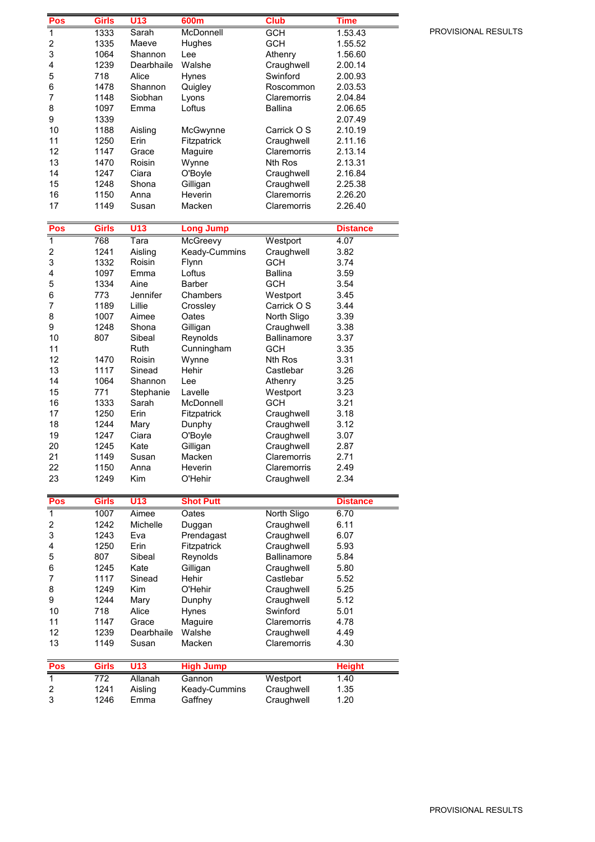| Pos                     | <b>Girls</b>     | U13             | 600m             | <b>Club</b>    | Time            |
|-------------------------|------------------|-----------------|------------------|----------------|-----------------|
| $\overline{1}$          | 1333             | Sarah           | McDonnell        | <b>GCH</b>     | 1.53.43         |
| 2                       | 1335             | Maeve           | Hughes           | <b>GCH</b>     | 1.55.52         |
| 3                       | 1064             | Shannon         | Lee              | Athenry        | 1.56.60         |
| 4                       | 1239             | Dearbhaile      | Walshe           | Craughwell     | 2.00.14         |
| 5                       | 718              | Alice           | Hynes            | Swinford       | 2.00.93         |
| 6                       | 1478             | Shannon         | Quigley          | Roscommon      | 2.03.53         |
| $\overline{7}$          | 1148             | Siobhan         | Lyons            | Claremorris    | 2.04.84         |
| 8                       | 1097             | Emma            | Loftus           | <b>Ballina</b> | 2.06.65         |
| 9                       | 1339             |                 |                  |                | 2.07.49         |
| 10                      | 1188             | Aisling         | McGwynne         | Carrick O S    | 2.10.19         |
| 11                      | 1250             | Erin            | Fitzpatrick      | Craughwell     | 2.11.16         |
| 12                      | 1147             | Grace           | Maguire          | Claremorris    | 2.13.14         |
| 13                      | 1470             | Roisin          | Wynne            | Nth Ros        | 2.13.31         |
| 14                      | 1247             | Ciara           | O'Boyle          | Craughwell     | 2.16.84         |
| 15                      | 1248             | Shona           | Gilligan         | Craughwell     | 2.25.38         |
| 16                      | 1150             | Anna            | Heverin          | Claremorris    | 2.26.20         |
| 17                      | 1149             | Susan           | Macken           | Claremorris    | 2.26.40         |
|                         |                  |                 |                  |                |                 |
| Pos                     | <b>Girls</b>     | U <sub>13</sub> | <b>Long Jump</b> |                | <b>Distance</b> |
| $\overline{\mathbf{1}}$ | 768              | Tara            | <b>McGreevy</b>  | Westport       | 4.07            |
| $\overline{\mathbf{c}}$ | 1241             | Aisling         | Keady-Cummins    | Craughwell     | 3.82            |
| 3                       | 1332             | Roisin          | Flynn            | <b>GCH</b>     | 3.74            |
| 4                       | 1097             | Emma            | Loftus           | <b>Ballina</b> | 3.59            |
| 5                       | 1334             | Aine            | <b>Barber</b>    | <b>GCH</b>     | 3.54            |
| 6                       | 773              | Jennifer        | Chambers         | Westport       | 3.45            |
| 7                       | 1189             | Lillie          | Crossley         | Carrick O S    | 3.44            |
| 8                       | 1007             | Aimee           | Oates            | North Sligo    | 3.39            |
| 9                       | 1248             | Shona           | Gilligan         | Craughwell     | 3.38            |
| 10                      | 807              | Sibeal          | Reynolds         | Ballinamore    | 3.37            |
| 11                      |                  | Ruth            | Cunningham       | <b>GCH</b>     | 3.35            |
| 12                      | 1470             | Roisin          | Wynne            | <b>Nth Ros</b> | 3.31            |
| 13                      | 1117             | Sinead          | Hehir            | Castlebar      | 3.26            |
| 14                      | 1064             | Shannon         | Lee              | Athenry        | 3.25            |
| 15                      | 771              | Stephanie       | Lavelle          | Westport       | 3.23            |
| 16                      | 1333             | Sarah           | McDonnell        | <b>GCH</b>     | 3.21            |
| 17                      | 1250             | Erin            | Fitzpatrick      | Craughwell     | 3.18            |
| 18                      | 1244             | Mary            | Dunphy           | Craughwell     | 3.12            |
| 19                      | 1247             | Ciara           | O'Boyle          | Craughwell     | 3.07            |
| 20                      | 1245             | Kate            | Gilligan         | Craughwell     | 2.87            |
| 21                      | 1149             | Susan           | Macken           | Claremorris    | 2.71            |
| 22                      | 1150             | Anna            | Heverin          | Claremorris    | 2.49            |
| 23                      | 1249             | Kim             | O'Hehir          | Craughwell     | 2.34            |
|                         |                  |                 |                  |                |                 |
| Pos                     | <b>Girls</b>     | U13             | <b>Shot Putt</b> |                | <b>Distance</b> |
| $\overline{\mathbf{1}}$ | 1007             | Aimee           | Oates            | North Sligo    | 6.70            |
| 2                       | 1242             | Michelle        | Duggan           | Craughwell     | 6.11            |
| 3                       | 1243             | Eva             | Prendagast       | Craughwell     | 6.07            |
| 4                       | 1250             | Erin            | Fitzpatrick      | Craughwell     | 5.93            |
| 5                       | 807              | Sibeal          | Reynolds         | Ballinamore    | 5.84            |
| 6                       | 1245             | Kate            | Gilligan         | Craughwell     | 5.80            |
| 7                       | 1117             | Sinead          | Hehir            | Castlebar      | 5.52            |
| 8                       | 1249             | Kim             | O'Hehir          | Craughwell     | 5.25            |
| 9                       | 1244             | Mary            | Dunphy           | Craughwell     | 5.12            |
| 10                      | 718              | Alice           | Hynes            | Swinford       | 5.01            |
| 11                      | 1147             | Grace           | Maguire          | Claremorris    | 4.78            |
| 12                      | 1239             | Dearbhaile      | Walshe           | Craughwell     | 4.49            |
| 13                      | 1149             | Susan           | Macken           | Claremorris    | 4.30            |
|                         |                  |                 |                  |                |                 |
| Pos                     | <b>Girls</b>     | U13             | <b>High Jump</b> |                | <b>Height</b>   |
| $\overline{1}$          | $\overline{772}$ | Allanah         | Gannon           | Westport       | 1.40            |
| 2                       | 1241             | Aisling         | Keady-Cummins    | Craughwell     | 1.35            |
| 3                       | 1246             | Emma            | Gaffney          | Craughwell     | 1.20            |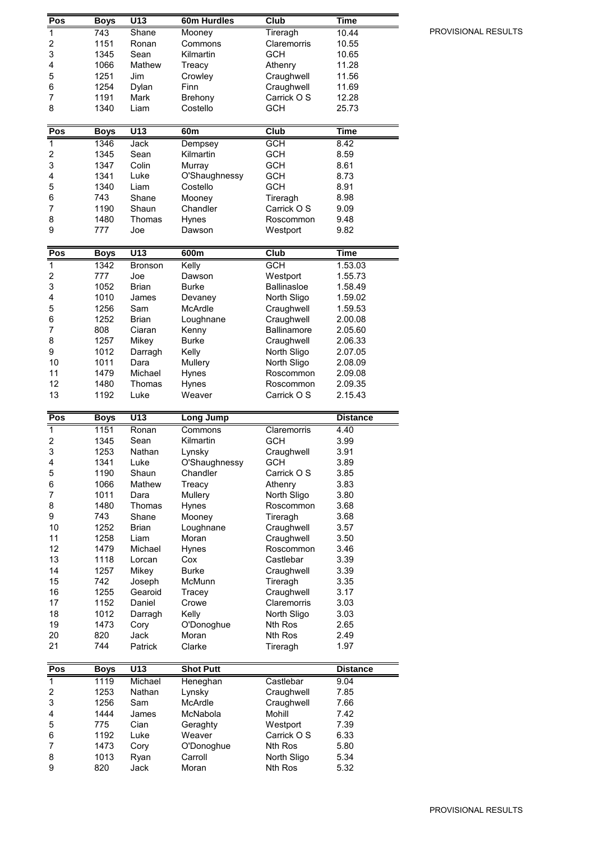| Pos                      | <b>Boys</b>      | U13              | 60m Hurdles      | Club                | Time            |
|--------------------------|------------------|------------------|------------------|---------------------|-----------------|
| 1                        | $\overline{743}$ | <b>Shane</b>     | Mooney           | Tireragh            | 10.44           |
| $\overline{\mathbf{c}}$  | 1151             | Ronan            | Commons          | Claremorris         | 10.55           |
| 3                        | 1345             | Sean             | Kilmartin        | <b>GCH</b>          | 10.65           |
| 4                        | 1066             | Mathew           | Treacy           | Athenry             | 11.28           |
| 5                        | 1251             | Jim              | Crowley          | Craughwell          | 11.56           |
| 6                        | 1254             | Dylan            | Finn             | Craughwell          | 11.69           |
| $\overline{7}$           | 1191             | Mark             |                  | Carrick O S         | 12.28           |
|                          |                  |                  | Brehony          |                     |                 |
| 8                        | 1340             | Liam             | Costello         | <b>GCH</b>          | 25.73           |
| Pos                      | <b>Boys</b>      | U13              | 60m              | Club                | <b>Time</b>     |
| $\overline{1}$           | 1346             | Jack             | Dempsey          | <b>GCH</b>          | 8.42            |
| $\overline{\mathbf{c}}$  | 1345             | Sean             | Kilmartin        | <b>GCH</b>          | 8.59            |
| 3                        | 1347             | Colin            | Murray           | <b>GCH</b>          | 8.61            |
| 4                        | 1341             | Luke             | O'Shaughnessy    | <b>GCH</b>          | 8.73            |
| 5                        | 1340             | Liam             | Costello         | <b>GCH</b>          | 8.91            |
| 6                        | 743              | Shane            | Mooney           | Tireragh            | 8.98            |
| 7                        | 1190             | Shaun            | Chandler         | Carrick O S         | 9.09            |
| 8                        | 1480             | Thomas           | Hynes            | Roscommon           | 9.48            |
| 9                        | 777              | Joe              | Dawson           | Westport            | 9.82            |
|                          |                  |                  |                  |                     |                 |
| Pos                      | <b>Boys</b>      | $\overline{U13}$ | 600m             | Club                | Time            |
| $\overline{1}$           | 1342             | <b>Bronson</b>   | Kelly            | <b>GCH</b>          | 1.53.03         |
| $\overline{\mathbf{c}}$  | 777              | Joe              | Dawson           | Westport            | 1.55.73         |
| 3                        | 1052             | <b>Brian</b>     | <b>Burke</b>     | <b>Ballinasloe</b>  | 1.58.49         |
| 4                        | 1010             | James            | Devaney          | North Sligo         | 1.59.02         |
| 5                        | 1256             | Sam              | McArdle          | Craughwell          | 1.59.53         |
| 6                        | 1252             | Brian            | Loughnane        | Craughwell          | 2.00.08         |
| 7                        | 808              | Ciaran           | Kenny            | Ballinamore         | 2.05.60         |
| 8                        | 1257             | Mikey            | <b>Burke</b>     | Craughwell          | 2.06.33         |
| 9                        | 1012             | Darragh          | Kelly            | North Sligo         | 2.07.05         |
| 10                       | 1011             | Dara             | Mullery          | North Sligo         | 2.08.09         |
| 11                       | 1479             | Michael          | Hynes            | Roscommon           | 2.09.08         |
| 12                       | 1480             | Thomas           | Hynes            | Roscommon           | 2.09.35         |
| 13                       | 1192             | Luke             | Weaver           | Carrick O S         | 2.15.43         |
|                          |                  |                  |                  |                     |                 |
|                          |                  |                  |                  |                     |                 |
| Pos                      | <b>Boys</b>      | U13              | <b>Long Jump</b> |                     | <b>Distance</b> |
| $\overline{1}$           | 1151             | Ronan            | Commons          | Claremorris         | 4.40            |
| $\overline{\mathbf{c}}$  | 1345             | Sean             | Kilmartin        | <b>GCH</b>          | 3.99            |
| 3                        | 1253             | Nathan           | Lynsky           | Craughwell          | 3.91            |
| 4                        | 1341             | Luke             | O'Shaughnessy    | <b>GCH</b>          | 3.89            |
| 5                        | 1190             | Shaun            | Chandler         | Carrick O S         | 3.85            |
| 6                        | 1066             | Mathew           | Treacy           | Athenry             | 3.83            |
| $\overline{\mathcal{I}}$ | 1011             | Dara             | Mullery          | North Sligo         | 3.80            |
| 8                        | 1480             | Thomas           | Hynes            | Roscommon           | 3.68            |
| 9                        | 743              | Shane            | Mooney           | Tireragh            | 3.68            |
| 10                       | 1252             | Brian            | Loughnane        | Craughwell          | 3.57            |
| 11                       | 1258             | Liam             | Moran            | Craughwell          | 3.50            |
| 12                       | 1479             | Michael          | Hynes            | Roscommon           | 3.46            |
| 13                       | 1118             | Lorcan           | Cox              | Castlebar           | 3.39            |
| 14                       | 1257             | Mikey            | <b>Burke</b>     | Craughwell          | 3.39            |
| 15                       | 742              | Joseph           | McMunn           | Tireragh            | 3.35            |
| 16                       | 1255             | Gearoid          | Tracey           | Craughwell          | 3.17            |
|                          |                  | Daniel           |                  |                     |                 |
| 17                       | 1152<br>1012     |                  | Crowe            | Claremorris         | 3.03            |
| 18                       |                  | Darragh          | Kelly            | North Sligo         | 3.03            |
| 19                       | 1473             | Cory             | O'Donoghue       | Nth Ros             | 2.65            |
| 20<br>21                 | 820<br>744       | Jack<br>Patrick  | Moran<br>Clarke  | Nth Ros<br>Tireragh | 2.49<br>1.97    |
|                          |                  |                  |                  |                     |                 |
| Pos                      | <b>Boys</b>      | U13              | <b>Shot Putt</b> |                     | <b>Distance</b> |
| 1                        | 1119             | Michael          | Heneghan         | Castlebar           | 9.04            |
| $\overline{\mathbf{c}}$  | 1253             | Nathan           | Lynsky           | Craughwell          | 7.85            |
| 3                        | 1256             | Sam              | McArdle          | Craughwell          | 7.66            |
| 4                        | 1444             | James            | McNabola         | Mohill              | 7.42            |
| 5                        | 775              | Cian             | Geraghty         | Westport            | 7.39            |
| 6                        | 1192             | Luke             | Weaver           | Carrick O S         | 6.33            |
| 7                        | 1473             | Cory             | O'Donoghue       | <b>Nth Ros</b>      | 5.80            |
| 8                        | 1013             | Ryan             | Carroll          | North Sligo         | 5.34            |
| 9                        | 820              | Jack             | Moran            | Nth Ros             | 5.32            |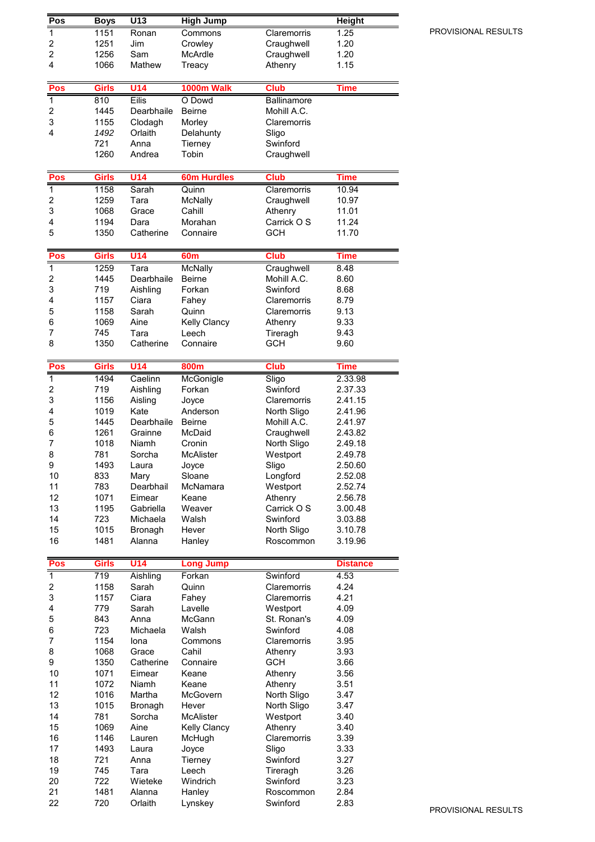| Pos                          | <b>Boys</b>  | U13                   | <b>High Jump</b>          |                            | <b>Height</b>      |
|------------------------------|--------------|-----------------------|---------------------------|----------------------------|--------------------|
| $\mathbf 1$                  | 1151         | Ronan                 | Commons                   | Claremorris                | 1.25               |
| 2                            | 1251         | Jim                   | Crowley                   | Craughwell                 | 1.20               |
| $\overline{2}$               | 1256         | Sam                   | McArdle                   | Craughwell                 | 1.20               |
| 4                            | 1066         | Mathew                | Treacy                    | Athenry                    | 1.15               |
| Pos                          | <b>Girls</b> | U14                   | 1000m Walk                | <b>Club</b>                | <b>Time</b>        |
| $\overline{1}$               | 810          | <b>Eilis</b>          | O Dowd                    | <b>Ballinamore</b>         |                    |
| 2                            | 1445         | Dearbhaile            | <b>Beirne</b>             | Mohill A.C.                |                    |
| 3                            | 1155         | Clodagh               | Morley                    | Claremorris                |                    |
| 4                            | 1492         | Orlaith               | Delahunty                 | Sligo                      |                    |
|                              | 721          | Anna                  | Tierney                   | Swinford                   |                    |
|                              | 1260         | Andrea                | Tobin                     | Craughwell                 |                    |
| Pos                          | <b>Girls</b> | <b>U14</b>            | <b>60m Hurdles</b>        | <b>Club</b>                | Time               |
| $\overline{\mathbf{1}}$      | 1158         | Sarah                 | Quinn                     | Claremorris                | 10.94              |
| 2                            | 1259         | Tara                  | McNally                   | Craughwell                 | 10.97              |
| 3                            | 1068         | Grace                 | Cahill                    | Athenry                    | 11.01              |
| 4                            | 1194         | Dara                  | Morahan                   | Carrick O S                | 11.24              |
| 5                            | 1350         | Catherine             | Connaire                  | <b>GCH</b>                 | 11.70              |
| Pos                          | <b>Girls</b> | <b>U14</b>            | 60 <sub>m</sub>           | <b>Club</b>                | <b>Time</b>        |
| $\overline{1}$               | 1259         | Tara                  | <b>McNally</b>            | Craughwell                 | 8.48               |
| 2                            | 1445         | Dearbhaile            | Beirne                    | Mohill A.C.                | 8.60               |
| 3                            | 719          | Aishling              | Forkan                    | Swinford                   | 8.68               |
| 4                            | 1157         | Ciara                 | Fahey                     | Claremorris                | 8.79               |
| 5                            | 1158         | Sarah                 | Quinn                     | Claremorris                | 9.13               |
| 6                            | 1069         | Aine                  | Kelly Clancy              | Athenry                    | 9.33               |
| 7<br>8                       | 745<br>1350  | Tara<br>Catherine     | Leech<br>Connaire         | Tireragh<br><b>GCH</b>     | 9.43<br>9.60       |
|                              |              |                       |                           |                            |                    |
| Pos                          | Girls        | <b>U14</b>            | 800m                      | <b>Club</b>                | Time               |
| 1                            | 1494         | Caelinn               | McGonigle                 | Sligo                      | 2.33.98            |
| $\overline{\mathbf{c}}$      | 719          | Aishling              | Forkan                    | Swinford                   | 2.37.33            |
| 3                            | 1156         | Aisling               | Joyce                     | Claremorris                | 2.41.15            |
| 4                            | 1019         | Kate                  | Anderson<br><b>Beirne</b> | North Sligo                | 2.41.96            |
| 5<br>6                       | 1445<br>1261 | Dearbhaile<br>Grainne | McDaid                    | Mohill A.C.<br>Craughwell  | 2.41.97<br>2.43.82 |
| 7                            | 1018         | Niamh                 | Cronin                    | North Sligo                | 2.49.18            |
| 8                            | 781          | Sorcha                | <b>McAlister</b>          | Westport                   | 2.49.78            |
| 9                            | 1493         | Laura                 | Joyce                     | Sligo                      | 2.50.60            |
| 10                           | 833          | Mary                  | Sloane                    | Longford                   | 2.52.08            |
| 11                           | 783          | Dearbhail             | McNamara                  | Westport                   | 2.52.74            |
| 12                           | 1071         | Eimear                | Keane                     | Athenry                    | 2.56.78            |
| 13                           | 1195         | Gabriella             | Weaver                    | Carrick O S                | 3.00.48            |
| 14                           | 723          | Michaela              | Walsh<br>Hever            | Swinford                   | 3.03.88            |
| 15<br>16                     | 1015<br>1481 | Bronagh<br>Alanna     | Hanley                    | North Sligo<br>Roscommon   | 3.10.78<br>3.19.96 |
|                              |              |                       |                           |                            |                    |
| Pos                          | <b>Girls</b> | U14                   | <b>Long Jump</b>          |                            | <b>Distance</b>    |
| $\mathbf{1}$                 | 719          | Aishling              | Forkan                    | Swinford                   | 4.53               |
| $\overline{\mathbf{c}}$<br>3 | 1158<br>1157 | Sarah<br>Ciara        | Quinn                     | Claremorris<br>Claremorris | 4.24<br>4.21       |
| 4                            | 779          | Sarah                 | Fahey<br>Lavelle          | Westport                   | 4.09               |
| 5                            | 843          | Anna                  | McGann                    | St. Ronan's                | 4.09               |
| 6                            | 723          | Michaela              | Walsh                     | Swinford                   | 4.08               |
| 7                            | 1154         | Iona                  | Commons                   | Claremorris                | 3.95               |
| 8                            | 1068         | Grace                 | Cahil                     | Athenry                    | 3.93               |
| 9                            | 1350         | Catherine             | Connaire                  | <b>GCH</b>                 | 3.66               |
| 10                           | 1071         | Eimear                | Keane                     | Athenry                    | 3.56               |
| 11                           | 1072         | Niamh                 | Keane                     | Athenry                    | 3.51               |
| 12                           | 1016         | Martha                | McGovern                  | North Sligo                | 3.47               |
| 13                           | 1015         | Bronagh               | Hever                     | North Sligo                | 3.47               |
| 14                           | 781          | Sorcha                | <b>McAlister</b>          | Westport                   | 3.40               |
| 15<br>16                     | 1069<br>1146 | Aine<br>Lauren        | Kelly Clancy<br>McHugh    | Athenry<br>Claremorris     | 3.40<br>3.39       |
| 17                           | 1493         | Laura                 | Joyce                     | Sligo                      | 3.33               |
| 18                           | 721          | Anna                  | Tierney                   | Swinford                   | 3.27               |
| 19                           | 745          | Tara                  | Leech                     | Tireragh                   | 3.26               |
| 20                           | 722          | Wieteke               | Windrich                  | Swinford                   | 3.23               |
| 21                           | 1481         | Alanna                | Hanley                    | Roscommon                  | 2.84               |
| 22                           | 720          | Orlaith               | Lynskey                   | Swinford                   | 2.83               |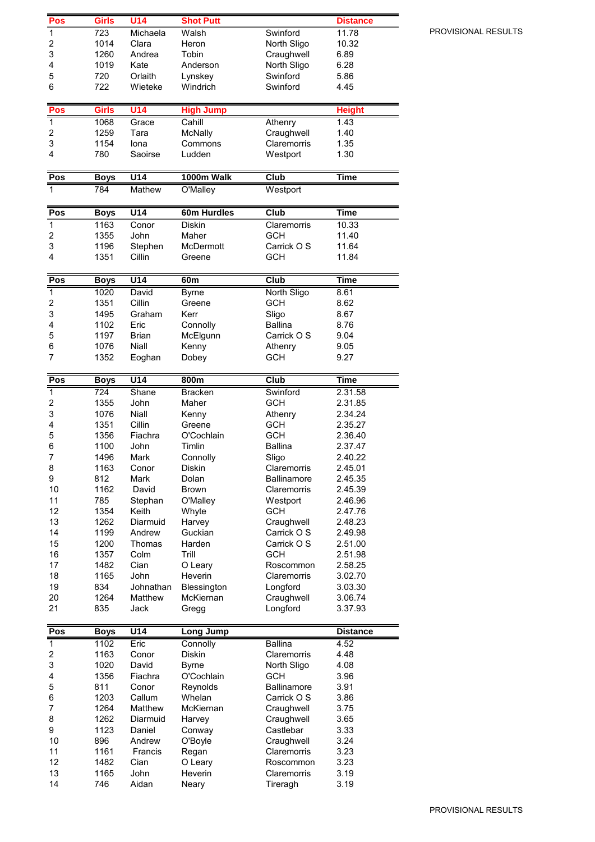| Pos                     | Girls        | <b>U14</b>         | <b>Shot Putt</b>        |                              | <b>Distance</b>    |
|-------------------------|--------------|--------------------|-------------------------|------------------------------|--------------------|
| 1                       | 723          | Michaela           | Walsh                   | Swinford                     | 11.78              |
| $\overline{\mathbf{c}}$ | 1014         | Clara              | Heron                   | North Sligo                  | 10.32              |
| 3                       | 1260         | Andrea             | Tobin                   | Craughwell                   | 6.89               |
| 4                       | 1019         | Kate               | Anderson                | North Sligo                  | 6.28               |
| 5                       | 720          | Orlaith            | Lynskey                 | Swinford                     | 5.86               |
| 6                       | 722          | Wieteke            | Windrich                | Swinford                     | 4.45               |
| Pos                     | <b>Girls</b> | $U$ 14             | <b>High Jump</b>        |                              | <b>Height</b>      |
| $\mathbf 1$             | 1068         | Grace              | Cahill                  | Athenry                      | 1.43               |
| 2                       | 1259         | Tara               | McNally                 | Craughwell                   | 1.40               |
| 3                       | 1154         | lona               | Commons                 | Claremorris                  | 1.35               |
| 4                       | 780          | Saoirse            | Ludden                  | Westport                     | 1.30               |
|                         |              |                    |                         |                              |                    |
| Pos                     | <b>Boys</b>  | U14                | 1000m Walk              | Club                         | <b>Time</b>        |
| $\overline{1}$          | 784          | Mathew             | O'Malley                | Westport                     |                    |
| Pos                     | <b>Boys</b>  | U14                | 60m Hurdles             | <b>Club</b>                  | <b>Time</b>        |
| 1                       | 1163         | Conor              | Diskin                  | Claremorris                  | 10.33              |
| $\overline{\mathbf{c}}$ | 1355         | John               | Maher                   | <b>GCH</b>                   | 11.40              |
| 3                       | 1196         | Stephen            | McDermott               | Carrick O S                  | 11.64              |
| 4                       | 1351         | Cillin             | Greene                  | <b>GCH</b>                   | 11.84              |
|                         |              |                    |                         |                              |                    |
| Pos                     | <b>Boys</b>  | U14                | 60 <sub>m</sub>         | Club                         | <b>Time</b>        |
| 1                       | 1020         | David<br>Cillin    | <b>Byrne</b><br>Greene  | North Sligo                  | 8.61               |
| 2<br>3                  | 1351<br>1495 | Graham             | Kerr                    | <b>GCH</b><br>Sligo          | 8.62<br>8.67       |
| 4                       | 1102         | Eric               | Connolly                | <b>Ballina</b>               | 8.76               |
| 5                       | 1197         | <b>Brian</b>       | McElgunn                | Carrick O S                  | 9.04               |
| 6                       | 1076         | Niall              | Kenny                   | Athenry                      | 9.05               |
| $\overline{7}$          | 1352         | Eoghan             | Dobey                   | <b>GCH</b>                   | 9.27               |
|                         |              |                    |                         |                              |                    |
| Pos                     | <b>Boys</b>  | U14                | 800m                    | Club                         | Time               |
| 1<br>2                  | 724<br>1355  | Shane<br>John      | <b>Bracken</b><br>Maher | Swinford<br><b>GCH</b>       | 2.31.58<br>2.31.85 |
|                         |              |                    |                         |                              |                    |
|                         |              |                    |                         |                              |                    |
| 3                       | 1076         | Niall              | Kenny                   | Athenry                      | 2.34.24            |
| 4                       | 1351<br>1356 | Cillin<br>Fiachra  | Greene<br>O'Cochlain    | <b>GCH</b>                   | 2.35.27            |
| 5                       | 1100         | John               | Timlin                  | <b>GCH</b><br><b>Ballina</b> | 2.36.40<br>2.37.47 |
| 6<br>$\overline{7}$     | 1496         | Mark               | Connolly                | Sligo                        | 2.40.22            |
| 8                       | 1163         | Conor              | Diskin                  | Claremorris                  | 2.45.01            |
| 9                       | 812          | Mark               | Dolan                   | <b>Ballinamore</b>           | 2.45.35            |
| 10                      | 1162         | David              | <b>Brown</b>            | Claremorris                  | 2.45.39            |
| 11                      | 785          | Stephan            | O'Malley                | Westport                     | 2.46.96            |
| 12                      | 1354         | Keith              | Whyte                   | <b>GCH</b>                   | 2.47.76            |
| 13                      | 1262         | Diarmuid           | Harvey                  | Craughwell                   | 2.48.23            |
| 14                      | 1199<br>1200 | Andrew             | Guckian<br>Harden       | Carrick O S                  | 2.49.98            |
| 15<br>16                | 1357         | Thomas<br>Colm     | Trill                   | Carrick O S<br><b>GCH</b>    | 2.51.00<br>2.51.98 |
| 17                      | 1482         | Cian               | O Leary                 | Roscommon                    | 2.58.25            |
| 18                      | 1165         | John               | Heverin                 | Claremorris                  | 3.02.70            |
| 19                      | 834          | Johnathan          | Blessington             | Longford                     | 3.03.30            |
| 20                      | 1264         | Matthew            | McKiernan               | Craughwell                   | 3.06.74            |
| 21                      | 835          | Jack               | Gregg                   | Longford                     | 3.37.93            |
| Pos                     | <b>Boys</b>  | U14                | Long Jump               |                              | <b>Distance</b>    |
| $\overline{1}$          | 1102         | Eric               | Connolly                | <b>Ballina</b>               | 4.52               |
| $\overline{\mathbf{c}}$ | 1163         | Conor              | Diskin                  | Claremorris                  | 4.48               |
| 3                       | 1020         | David              | <b>Byrne</b>            | North Sligo                  | 4.08               |
| 4                       | 1356         | Fiachra            | O'Cochlain              | <b>GCH</b>                   | 3.96               |
| 5                       | 811          | Conor              | Reynolds                | <b>Ballinamore</b>           | 3.91               |
| 6                       | 1203         | Callum             | Whelan                  | Carrick O S                  | 3.86               |
| 7                       | 1264         | Matthew            | McKiernan               | Craughwell                   | 3.75               |
| 8                       | 1262         | Diarmuid<br>Daniel | Harvey                  | Craughwell                   | 3.65               |
| 9<br>10                 | 1123<br>896  | Andrew             | Conway<br>O'Boyle       | Castlebar<br>Craughwell      | 3.33<br>3.24       |
| 11                      | 1161         | Francis            | Regan                   | Claremorris                  | 3.23               |
| 12                      | 1482         | Cian               | O Leary                 | Roscommon                    | 3.23               |
| 13<br>14                | 1165<br>746  | John<br>Aidan      | Heverin<br>Neary        | Claremorris<br>Tireragh      | 3.19<br>3.19       |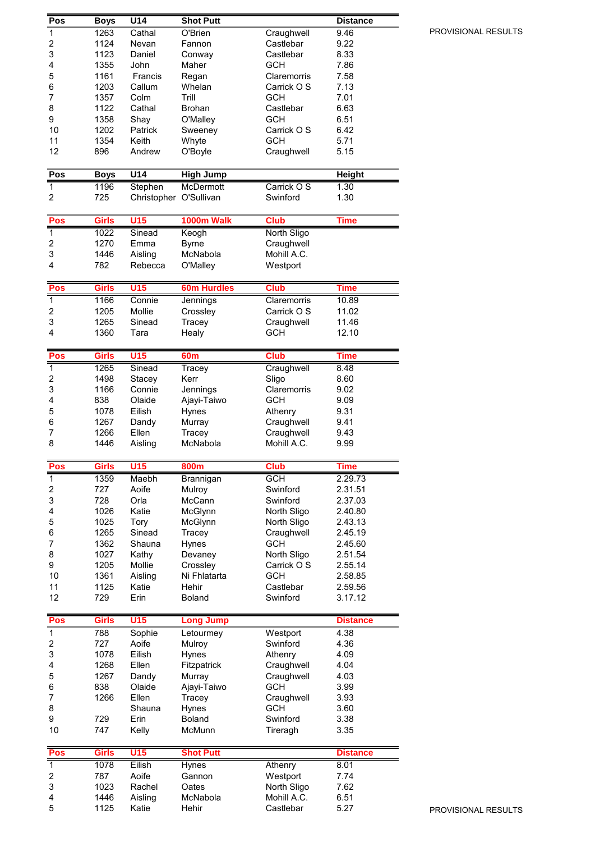| Pos                     | <b>Boys</b>  | U <sub>14</sub>        | <b>Shot Putt</b>       |                            | <b>Distance</b>    |
|-------------------------|--------------|------------------------|------------------------|----------------------------|--------------------|
| $\mathbf{1}$            | 1263         | Cathal                 | O'Brien                | Craughwell                 | 9.46               |
| $\overline{\mathbf{c}}$ | 1124         | Nevan                  | Fannon                 | Castlebar                  | 9.22               |
| 3                       | 1123         | Daniel                 | Conway                 | Castlebar                  | 8.33               |
| 4                       | 1355<br>1161 | John<br>Francis        | Maher                  | <b>GCH</b><br>Claremorris  | 7.86<br>7.58       |
| 5<br>6                  | 1203         | Callum                 | Regan<br>Whelan        | Carrick O S                | 7.13               |
| $\overline{7}$          | 1357         | Colm                   | Trill                  | <b>GCH</b>                 | 7.01               |
| 8                       | 1122         | Cathal                 | <b>Brohan</b>          | Castlebar                  | 6.63               |
| 9                       | 1358         | Shay                   | O'Malley               | <b>GCH</b>                 | 6.51               |
| 10                      | 1202         | Patrick                | Sweeney                | Carrick O S                | 6.42               |
| 11                      | 1354         | Keith                  | Whyte                  | <b>GCH</b>                 | 5.71               |
| 12                      | 896          | Andrew                 | O'Boyle                | Craughwell                 | 5.15               |
| Pos                     | <b>Boys</b>  | U <sub>14</sub>        | <b>High Jump</b>       |                            | <b>Height</b>      |
| $\mathbf 1$             | 1196         | Stephen                | McDermott              | Carrick O S                | 1.30               |
| 2                       | 725          | Christopher O'Sullivan |                        | Swinford                   | 1.30               |
|                         |              |                        |                        |                            |                    |
| Pos                     | <b>Girls</b> | U15                    | 1000m Walk             | <b>Club</b>                | Time               |
| $\overline{1}$          | 1022         | Sinead                 | Keogh                  | North Sligo                |                    |
| 2                       | 1270         | Emma                   | <b>Byrne</b>           | Craughwell                 |                    |
| 3<br>4                  | 1446<br>782  | Aisling<br>Rebecca     | McNabola               | Mohill A.C.                |                    |
|                         |              |                        | O'Malley               | Westport                   |                    |
| Pos                     | <b>Girls</b> | U15                    | <b>60m Hurdles</b>     | <b>Club</b>                | Time               |
| $\overline{1}$          | 1166         | Connie                 | Jennings               | Claremorris                | 10.89              |
| $\overline{\mathbf{c}}$ | 1205         | Mollie                 | Crossley               | Carrick O S                | 11.02              |
| 3                       | 1265         | Sinead                 | Tracey                 | Craughwell                 | 11.46              |
| 4                       | 1360         | Tara                   | Healy                  | <b>GCH</b>                 | 12.10              |
|                         |              |                        |                        |                            |                    |
| Pos<br>$\overline{1}$   | <b>Girls</b> | U15                    | 60 <sub>m</sub>        | <b>Club</b>                | Time<br>8.48       |
| 2                       | 1265<br>1498 | Sinead<br>Stacey       | Tracey<br>Kerr         | Craughwell<br>Sligo        | 8.60               |
| 3                       | 1166         | Connie                 | Jennings               | Claremorris                | 9.02               |
| 4                       | 838          | Olaide                 | Ajayi-Taiwo            | <b>GCH</b>                 | 9.09               |
| 5                       | 1078         | Eilish                 | Hynes                  | Athenry                    | 9.31               |
| 6                       | 1267         | Dandy                  | Murray                 | Craughwell                 | 9.41               |
| 7                       | 1266         | Ellen                  | Tracey                 | Craughwell                 | 9.43               |
| 8                       | 1446         | Aisling                | McNabola               | Mohill A.C.                | 9.99               |
| Pos                     | Girls        | U15                    | 800m                   | <b>Club</b>                | Time               |
| $\overline{1}$          | 1359         | Maebh                  | Brannigan              | <b>GCH</b>                 | 2.29.73            |
| 2                       | 727          | Aoife                  | Mulroy                 | Swinford                   | 2.31.51            |
| 3                       | 728          | Orla                   | McCann                 | Swinford                   | 2.37.03            |
| 4                       | 1026         | Katie                  | McGlynn                | North Sligo                | 2.40.80            |
| 5<br>6                  | 1025<br>1265 | Tory<br>Sinead         | McGlynn<br>Tracey      | North Sligo<br>Craughwell  | 2.43.13<br>2.45.19 |
| 7                       | 1362         | Shauna                 | Hynes                  | <b>GCH</b>                 | 2.45.60            |
| 8                       | 1027         | Kathy                  | Devaney                | North Sligo                | 2.51.54            |
| 9                       | 1205         | Mollie                 | Crossley               | Carrick O S                | 2.55.14            |
| 10                      | 1361         | Aisling                | Ni Fhlatarta           | <b>GCH</b>                 | 2.58.85            |
| 11                      | 1125         | Katie                  | Hehir                  | Castlebar                  | 2.59.56            |
| 12                      | 729          | Erin                   | Boland                 | Swinford                   | 3.17.12            |
| Pos                     | Girls        | U15                    | <b>Long Jump</b>       |                            | <b>Distance</b>    |
| $\mathbf{1}$            | 788          | Sophie                 | Letourmey              | Westport                   | 4.38               |
| $\overline{\mathbf{c}}$ | 727          | Aoife                  | Mulroy                 | Swinford                   | 4.36               |
| 3                       | 1078         | Eilish                 | Hynes                  | Athenry                    | 4.09               |
| 4                       |              |                        |                        |                            |                    |
| 5<br>6                  | 1268         | Ellen                  | Fitzpatrick            | Craughwell                 | 4.04               |
|                         | 1267         | Dandy                  | Murray                 | Craughwell                 | 4.03               |
|                         | 838          | Olaide                 | Ajayi-Taiwo            | <b>GCH</b>                 | 3.99               |
| $\overline{7}$          | 1266         | Ellen                  | Tracey                 | Craughwell                 | 3.93               |
| 8<br>9                  | 729          | Shauna<br>Erin         | Hynes<br><b>Boland</b> | <b>GCH</b><br>Swinford     | 3.60<br>3.38       |
| 10                      | 747          | Kelly                  | McMunn                 | Tireragh                   | 3.35               |
|                         |              |                        |                        |                            |                    |
| Pos                     | <b>Girls</b> | U15                    | <b>Shot Putt</b>       |                            | <b>Distance</b>    |
| $\mathbf{1}$            | 1078         | Eilish                 | Hynes                  | Athenry                    | 8.01               |
| $\overline{\mathbf{c}}$ | 787          | Aoife                  | Gannon                 | Westport                   | 7.74               |
| 3<br>4                  | 1023<br>1446 | Rachel<br>Aisling      | Oates<br>McNabola      | North Sligo<br>Mohill A.C. | 7.62<br>6.51       |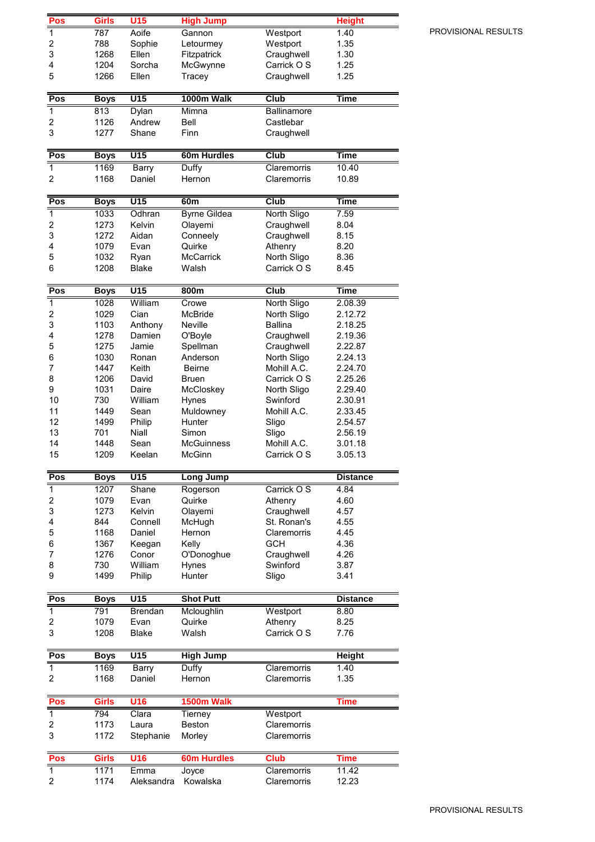| Pos                     | <b>Girls</b> | U <sub>15</sub>      | <b>High Jump</b>     |                     | <b>Height</b>   |
|-------------------------|--------------|----------------------|----------------------|---------------------|-----------------|
| $\overline{1}$          | 787          | Aoife                | Gannon               | Westport            | 1.40            |
| $\overline{\mathbf{c}}$ | 788          | Sophie               | Letourmey            | Westport            | 1.35            |
| 3                       | 1268         | Ellen                | Fitzpatrick          | Craughwell          | 1.30            |
| 4                       | 1204         | Sorcha               | McGwynne             | Carrick O S         | 1.25            |
| 5                       | 1266         | Ellen                | Tracey               | Craughwell          | 1.25            |
|                         |              |                      |                      |                     |                 |
| Pos                     | <b>Boys</b>  | U15                  | 1000m Walk           | Club                | Time            |
| $\overline{\mathbf{1}}$ | 813          | Dylan                | Mimna                | Ballinamore         |                 |
| $\overline{c}$          | 1126         | Andrew               | Bell                 | Castlebar           |                 |
| 3                       | 1277         | Shane                | Finn                 | Craughwell          |                 |
| Pos                     | <b>Boys</b>  | U15                  | 60m Hurdles          | <b>Club</b>         | <b>Time</b>     |
| $\overline{1}$          | 1169         | Barry                | <b>Duffy</b>         | Claremorris         | 10.40           |
| 2                       | 1168         | Daniel               | Hernon               | Claremorris         | 10.89           |
|                         |              |                      |                      |                     |                 |
| Pos                     | <b>Boys</b>  | U15                  | 60m                  | Club                | Time            |
| $\overline{1}$          | 1033         | Odhran               | <b>Byrne Gildea</b>  | North Sligo         | 7.59            |
| $\overline{c}$          | 1273         | Kelvin               | Olayemi              | Craughwell          | 8.04            |
| 3                       | 1272         | Aidan                | Conneely             | Craughwell          | 8.15            |
| 4                       | 1079         | Evan                 | Quirke               | Athenry             | 8.20            |
| 5                       | 1032         | Ryan<br><b>Blake</b> | <b>McCarrick</b>     | North Sligo         | 8.36            |
| 6                       | 1208         |                      | Walsh                | Carrick O S         | 8.45            |
| Pos                     | <b>Boys</b>  | U15                  | 800m                 | Club                | <b>Time</b>     |
| $\overline{\mathbf{1}}$ | 1028         | William              | Crowe                | North Sligo         | 2.08.39         |
| $\overline{c}$          | 1029         | Cian                 | McBride              | North Sligo         | 2.12.72         |
| 3                       | 1103         | Anthony              | Neville              | <b>Ballina</b>      | 2.18.25         |
| 4                       | 1278         | Damien               | O'Boyle              | Craughwell          | 2.19.36         |
| 5                       | 1275         | Jamie                | Spellman             | Craughwell          | 2.22.87         |
| 6                       | 1030         | Ronan                | Anderson             | North Sligo         | 2.24.13         |
| $\overline{7}$          | 1447         | Keith                | <b>Beirne</b>        | Mohill A.C.         | 2.24.70         |
| 8                       | 1206         | David                | Bruen                | Carrick O S         | 2.25.26         |
| 9                       | 1031         | Daire                | McCloskey            | North Sligo         | 2.29.40         |
| 10                      | 730          | William              | Hynes                | Swinford            | 2.30.91         |
| 11                      | 1449         | Sean                 | Muldowney            | Mohill A.C.         | 2.33.45         |
| 12                      | 1499         | Philip               | Hunter               | Sligo               | 2.54.57         |
| 13                      | 701          | Niall                | Simon                | Sligo               | 2.56.19         |
| 14                      | 1448         | Sean                 | <b>McGuinness</b>    | Mohill A.C.         | 3.01.18         |
| 15                      | 1209         | Keelan               | <b>McGinn</b>        | Carrick O S         | 3.05.13         |
| Pos                     | <b>Boys</b>  | U15                  | <b>Long Jump</b>     |                     | <b>Distance</b> |
| $\overline{1}$          | 1207         | Shane                | Rogerson             | Carrick O S         | 4.84            |
| $\overline{c}$          | 1079         | Evan                 | Quirke               | Athenry             | 4.60            |
| 3                       | 1273         | Kelvin               | Olayemi              | Craughwell          | 4.57            |
| 4                       | 844          | Connell              | McHugh               | St. Ronan's         | 4.55            |
| 5                       | 1168         | Daniel               | Hernon               | Claremorris         | 4.45            |
| 6                       | 1367         | Keegan               | Kelly                | <b>GCH</b>          | 4.36            |
| $\overline{7}$          | 1276         | Conor                | O'Donoghue           | Craughwell          | 4.26            |
| 8                       | 730          | William              | Hynes                | Swinford            | 3.87            |
| 9                       | 1499         | Philip               | Hunter               | Sligo               | 3.41            |
|                         |              |                      |                      |                     |                 |
| Pos                     | <b>Boys</b>  | U15                  | <b>Shot Putt</b>     |                     | <b>Distance</b> |
| $\overline{1}$          | 791<br>1079  | Brendan<br>Evan      | Mcloughlin<br>Quirke | Westport<br>Athenry | 8.80<br>8.25    |
| 2<br>3                  | 1208         | <b>Blake</b>         | Walsh                | Carrick O S         | 7.76            |
|                         |              |                      |                      |                     |                 |
| Pos                     | <b>Boys</b>  | $\overline{U15}$     | <b>High Jump</b>     |                     | <b>Height</b>   |
| $\mathbf{1}$            | 1169         | Barry                | Duffy                | Claremorris         | 1.40            |
| 2                       | 1168         | Daniel               | Hernon               | Claremorris         | 1.35            |
| Pos                     | <b>Girls</b> | <b>U16</b>           | 1500m Walk           |                     | <b>Time</b>     |
| $\overline{1}$          | 794          | Clara                | Tierney              | Westport            |                 |
| 2                       | 1173         | Laura                | Beston               | Claremorris         |                 |
| 3                       | 1172         | Stephanie            | Morley               | Claremorris         |                 |
| Pos                     | <b>Girls</b> | U16                  | <b>60m Hurdles</b>   | <b>Club</b>         | <b>Time</b>     |
| $\mathbf{1}$            | 1171         | Emma                 | Joyce                | Claremorris         | 11.42           |
| $\overline{c}$          | 1174         | Aleksandra           | Kowalska             | Claremorris         | 12.23           |
|                         |              |                      |                      |                     |                 |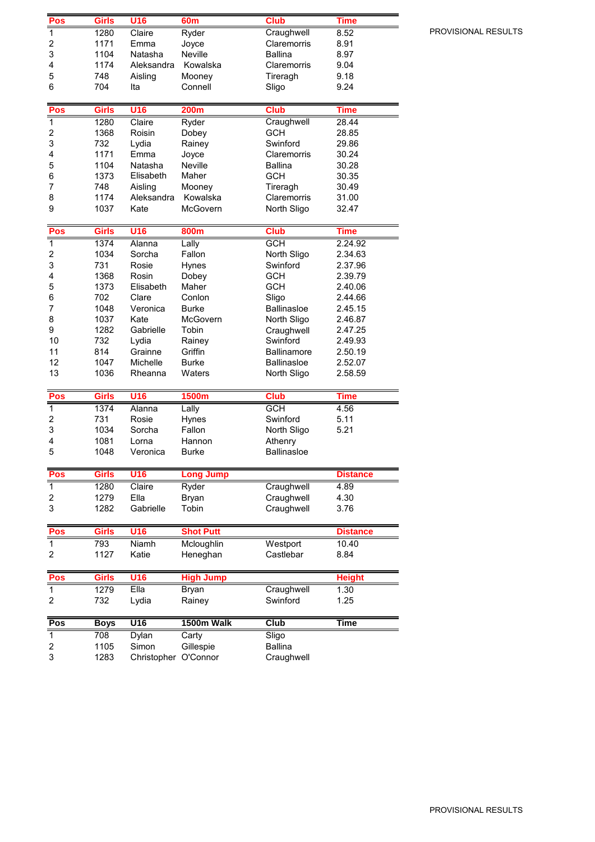| Pos                     | <b>Girls</b> | U16                  | 60m              | <b>Club</b>                   | Time            |
|-------------------------|--------------|----------------------|------------------|-------------------------------|-----------------|
| $\overline{1}$          | 1280         | Claire               | Ryder            | Craughwell                    | 8.52            |
| 2                       | 1171         | Emma                 | Joyce            | Claremorris                   | 8.91            |
| 3                       | 1104         | Natasha              | Neville          | <b>Ballina</b>                | 8.97            |
| 4                       | 1174         | Aleksandra           | Kowalska         | Claremorris                   | 9.04            |
| 5                       | 748          | Aisling              | Mooney           | Tireragh                      | 9.18            |
| 6                       | 704          | Ita                  | Connell          | Sligo                         | 9.24            |
|                         |              |                      |                  |                               |                 |
| Pos                     | <b>Girls</b> | <b>U16</b>           | <b>200m</b>      | <b>Club</b>                   | <b>Time</b>     |
| $\overline{\mathbf{1}}$ | 1280         | Claire               | Ryder            | Craughwell                    | 28.44           |
| 2                       | 1368         | Roisin               | Dobey            | <b>GCH</b>                    | 28.85           |
| 3                       | 732          | Lydia                | Rainey           | Swinford                      | 29.86           |
| 4                       | 1171         | Emma                 | Joyce            | Claremorris                   | 30.24           |
| 5                       | 1104         | Natasha              | Neville          | <b>Ballina</b>                | 30.28           |
|                         | 1373         | Elisabeth            | Maher            | <b>GCH</b>                    |                 |
| 6                       |              |                      |                  |                               | 30.35           |
| 7                       | 748          | Aisling              | Mooney           | Tireragh                      | 30.49           |
| 8                       | 1174         | Aleksandra           | Kowalska         | Claremorris                   | 31.00           |
| 9                       | 1037         | Kate                 | McGovern         | North Sligo                   | 32.47           |
| Pos                     | Girls        | <b>U16</b>           | 800m             | <b>Club</b>                   | <b>Time</b>     |
| $\overline{\mathbf{1}}$ | 1374         | Alanna               | Lally            | <b>GCH</b>                    | 2.24.92         |
| 2                       | 1034         | Sorcha               | Fallon           | North Sligo                   | 2.34.63         |
| 3                       | 731          | Rosie                | Hynes            | Swinford                      | 2.37.96         |
| 4                       | 1368         | Rosin                | Dobey            | <b>GCH</b>                    | 2.39.79         |
| 5                       | 1373         | Elisabeth            | Maher            | <b>GCH</b>                    | 2.40.06         |
|                         | 702          | Clare                | Conlon           |                               |                 |
| 6                       |              |                      |                  | Sligo                         | 2.44.66         |
| 7                       | 1048         | Veronica             | <b>Burke</b>     | <b>Ballinasloe</b>            | 2.45.15         |
| 8                       | 1037         | Kate                 | McGovern         | North Sligo                   | 2.46.87         |
| 9                       | 1282         | Gabrielle            | Tobin            | Craughwell                    | 2.47.25         |
| 10                      | 732          | Lydia                | Rainey           | Swinford                      | 2.49.93         |
| 11                      | 814          | Grainne              | Griffin          | <b>Ballinamore</b>            | 2.50.19         |
| 12                      | 1047         | Michelle             | <b>Burke</b>     | <b>Ballinasloe</b>            | 2.52.07         |
| 13                      | 1036         | Rheanna              | Waters           | North Sligo                   | 2.58.59         |
| Pos                     | <b>Girls</b> | U16                  | 1500m            | <b>Club</b>                   | <b>Time</b>     |
| $\mathbf{1}$            | 1374         | Alanna               | Lally            | <b>GCH</b>                    | 4.56            |
| $\overline{\mathbf{c}}$ | 731          | Rosie                | Hynes            | Swinford                      | 5.11            |
| 3                       | 1034         | Sorcha               | Fallon           |                               | 5.21            |
|                         |              |                      |                  | North Sligo                   |                 |
| 4<br>5                  | 1081         | Lorna                | Hannon           | Athenry<br><b>Ballinasloe</b> |                 |
|                         | 1048         | Veronica             | <b>Burke</b>     |                               |                 |
| Pos                     | <b>Girls</b> | U16                  | <b>Long Jump</b> |                               | <b>Distance</b> |
| $\mathbf{1}$            | 1280         | Claire               | Ryder            | Craughwell                    | 4.89            |
| 2                       | 1279         | Ella                 | Bryan            | Craughwell                    | 4.30            |
| 3                       | 1282         | Gabrielle            | Tobin            | Craughwell                    | 3.76            |
|                         |              |                      |                  |                               |                 |
| Pos                     | Girls        | U <sub>16</sub>      | <b>Shot Putt</b> |                               | <b>Distance</b> |
| $\mathbf{1}$            | 793          | Niamh                | Mcloughlin       | Westport                      | 10.40           |
| 2                       | 1127         | Katie                | Heneghan         | Castlebar                     | 8.84            |
|                         |              |                      |                  |                               |                 |
| Pos                     | <b>Girls</b> | U16                  | <b>High Jump</b> |                               | <b>Height</b>   |
| 1                       | 1279         | $E$ lla              | Bryan            | Craughwell                    | 1.30            |
| 2                       | 732          | Lydia                | Rainey           | Swinford                      | 1.25            |
|                         |              |                      |                  |                               |                 |
| Pos                     | <b>Boys</b>  | U16                  | 1500m Walk       | <b>Club</b>                   | Time            |
| $\overline{1}$          | 708          | Dylan                | Carty            | Sligo                         |                 |
| 2                       | 1105         | Simon                | Gillespie        | <b>Ballina</b>                |                 |
| 3                       | 1283         | Christopher O'Connor |                  | Craughwell                    |                 |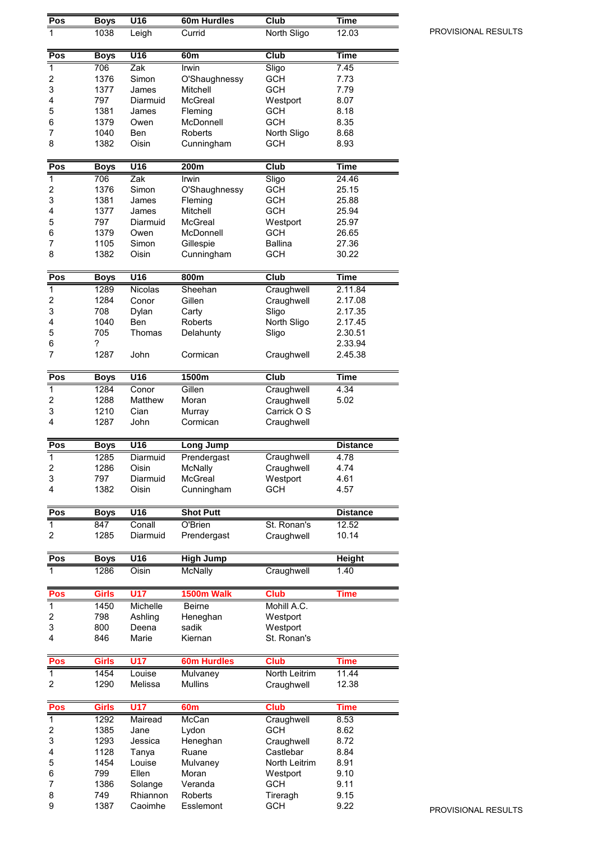| Pos                     | <b>Boys</b>  | $\overline{U16}$ | 60m Hurdles             | Club           | <b>Time</b>        |
|-------------------------|--------------|------------------|-------------------------|----------------|--------------------|
| 1                       | 1038         | Leigh            | Currid                  | North Sligo    | 12.03              |
|                         |              |                  |                         |                |                    |
| Pos                     | <b>Boys</b>  | $\overline{U16}$ | 60 <sub>m</sub>         | Club           | <b>Time</b>        |
| 1                       | 706          | Zak              | Irwin                   | Sligo          | 7.45               |
| 2                       | 1376         | Simon            | O'Shaughnessy           | <b>GCH</b>     | 7.73               |
| 3                       | 1377         | James            | Mitchell                | <b>GCH</b>     | 7.79               |
| 4                       | 797          | Diarmuid         | <b>McGreal</b>          | Westport       | 8.07               |
| 5                       | 1381         | James            | Fleming                 | <b>GCH</b>     | 8.18               |
| 6                       | 1379         | Owen             | McDonnell               | <b>GCH</b>     | 8.35               |
| 7                       | 1040         | Ben              | Roberts                 | North Sligo    | 8.68               |
| 8                       | 1382         | Oisin            | Cunningham              | <b>GCH</b>     | 8.93               |
| Pos                     | <b>Boys</b>  | $\overline{U16}$ | 200m                    | Club           | <b>Time</b>        |
| 1                       | 706          | Zak              | Irwin                   | Sligo          | 24.46              |
| 2                       | 1376         | Simon            | O'Shaughnessy           | <b>GCH</b>     | 25.15              |
| 3                       | 1381         | James            | Fleming                 | <b>GCH</b>     | 25.88              |
| 4                       | 1377         | James            | Mitchell                | <b>GCH</b>     | 25.94              |
| 5                       | 797          | Diarmuid         | McGreal                 | Westport       | 25.97              |
| 6                       | 1379         | Owen             | McDonnell               | <b>GCH</b>     | 26.65              |
| $\overline{7}$<br>8     | 1105         | Simon<br>Oisin   | Gillespie<br>Cunningham | <b>Ballina</b> | 27.36              |
|                         | 1382         |                  |                         | <b>GCH</b>     | 30.22              |
| Pos                     | <b>Boys</b>  | U16              | 800m                    | Club           | <b>Time</b>        |
| 1                       | 1289         | Nicolas          | Sheehan                 | Craughwell     | 2.11.84            |
| 2                       | 1284         | Conor            | Gillen                  | Craughwell     | 2.17.08            |
| 3                       | 708          | Dylan            | Carty                   | Sligo          | 2.17.35            |
| 4                       | 1040         | Ben              | Roberts                 | North Sligo    | 2.17.45            |
| 5                       | 705          | Thomas           | Delahunty               | Sligo          | 2.30.51            |
| 6<br>7                  | ?<br>1287    | John             | Cormican                | Craughwell     | 2.33.94<br>2.45.38 |
|                         |              |                  |                         |                |                    |
| Pos                     | <b>Boys</b>  | U16              | 1500m                   | Club           | Time               |
| 1                       | 1284         | Conor            | Gillen                  | Craughwell     | 4.34               |
| 2                       | 1288         | Matthew          | Moran                   | Craughwell     | 5.02               |
| 3                       | 1210         | Cian             | Murray                  | Carrick O S    |                    |
| 4                       | 1287         | John             | Cormican                | Craughwell     |                    |
| Pos                     | <b>Boys</b>  | U16              | <b>Long Jump</b>        |                | <b>Distance</b>    |
| $\overline{1}$          | 1285         | Diarmuid         | Prendergast             | Craughwell     | 4.78               |
| 2                       | 1286         | Oisin            | <b>McNally</b>          | Craughwell     | 4.74               |
| 3                       | 797          | Diarmuid         | McGreal                 | Westport       | 4.61               |
| 4                       | 1382         | Oisin            | Cunningham              | <b>GCH</b>     | 4.57               |
| Pos                     | <b>Boys</b>  | U16              | <b>Shot Putt</b>        |                | <b>Distance</b>    |
| $\overline{1}$          | 847          | Conall           | O'Brien                 | St. Ronan's    | 12.52              |
| 2                       | 1285         | Diarmuid         | Prendergast             | Craughwell     | 10.14              |
| Pos                     | <b>Boys</b>  | U16              | <b>High Jump</b>        |                | <b>Height</b>      |
| 1                       | 1286         | Oisin            | <b>McNally</b>          | Craughwell     | 1.40               |
|                         |              |                  |                         |                |                    |
| Pos                     | Girls        | <b>U17</b>       | 1500m Walk              | <b>Club</b>    | Time               |
| $\mathbf{1}$            | 1450         | Michelle         | <b>Beirne</b>           | Mohill A.C.    |                    |
| 2                       | 798          | Ashling          | Heneghan                | Westport       |                    |
| 3<br>4                  | 800          | Deena            | sadik                   | Westport       |                    |
|                         | 846          | Marie            | Kiernan                 | St. Ronan's    |                    |
| Pos                     | Girls        | <b>U17</b>       | <b>60m Hurdles</b>      | <b>Club</b>    | Time               |
| 1                       | 1454         | Louise           | Mulvaney                | North Leitrim  | 11.44              |
| 2                       | 1290         | Melissa          | <b>Mullins</b>          | Craughwell     | 12.38              |
| Pos                     | <b>Girls</b> | <b>U17</b>       | 60 <sub>m</sub>         | <b>Club</b>    | Time               |
| $\overline{1}$          | 1292         | Mairead          | McCan                   | Craughwell     | 8.53               |
| $\overline{\mathbf{c}}$ | 1385         | Jane             | Lydon                   | <b>GCH</b>     | 8.62               |
| 3                       | 1293         | Jessica          | Heneghan                | Craughwell     | 8.72               |
| 4                       | 1128         | Tanya            | Ruane                   | Castlebar      | 8.84               |
| 5                       | 1454         | Louise           | Mulvaney                | North Leitrim  | 8.91               |
| 6                       | 799          | Ellen            | Moran                   | Westport       | 9.10               |
| 7                       | 1386         | Solange          | Veranda                 | <b>GCH</b>     | 9.11               |
| 8                       | 749          | Rhiannon         | Roberts                 | Tireragh       | 9.15               |
| 9                       | 1387         | Caoimhe          | Esslemont               | <b>GCH</b>     | 9.22               |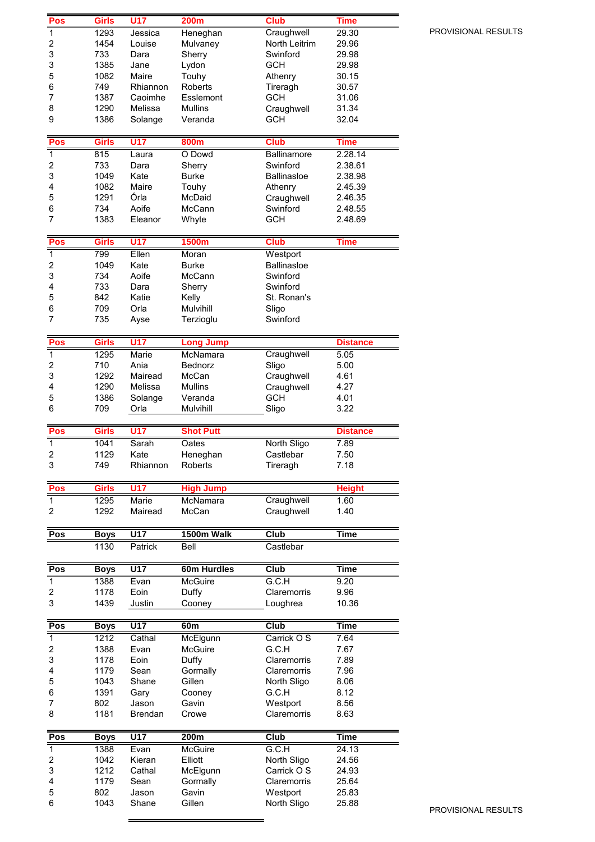|                         | <b>Girls</b> | U17              | <b>200m</b>      | <b>Club</b>             | Time            |
|-------------------------|--------------|------------------|------------------|-------------------------|-----------------|
| $\overline{1}$          | 1293         | Jessica          | Heneghan         | Craughwell              | 29.30           |
| 2                       | 1454         | Louise           | Mulvaney         | North Leitrim           | 29.96           |
| 3                       | 733          | Dara             | Sherry           | Swinford                | 29.98           |
| 3                       | 1385         | Jane             | Lydon            | <b>GCH</b>              | 29.98           |
| 5                       | 1082         | Maire            | Touhy            | Athenry                 | 30.15           |
| 6                       | 749          | Rhiannon         | Roberts          | Tireragh                | 30.57           |
| 7                       | 1387         | Caoimhe          | Esslemont        | <b>GCH</b>              | 31.06           |
| 8                       | 1290         | Melissa          | <b>Mullins</b>   | Craughwell              | 31.34           |
| 9                       | 1386         | Solange          | Veranda          | <b>GCH</b>              | 32.04           |
|                         |              |                  |                  |                         |                 |
| Pos                     | Girls        | <b>U17</b>       | 800m             | <b>Club</b>             | <b>Time</b>     |
| $\mathbf 1$             | 815          | Laura            | O Dowd           | <b>Ballinamore</b>      | 2.28.14         |
| $\overline{\mathbf{c}}$ | 733          | Dara             | Sherry           | Swinford                | 2.38.61         |
| 3                       | 1049         | Kate             | <b>Burke</b>     | <b>Ballinasloe</b>      | 2.38.98         |
| 4                       | 1082         | Maire            | Touhy            | Athenry                 | 2.45.39         |
| 5                       | 1291         | Órla             | McDaid           | Craughwell              | 2.46.35         |
| 6                       | 734          | Aoife            | McCann           | Swinford                | 2.48.55         |
| $\overline{7}$          | 1383         | Eleanor          | Whyte            | <b>GCH</b>              | 2.48.69         |
|                         |              |                  |                  |                         |                 |
| Pos                     | <b>Girls</b> | <b>U17</b>       | 1500m            | <b>Club</b>             | <b>Time</b>     |
| $\overline{1}$          | 799          | Ellen            | Moran            | Westport                |                 |
| $\overline{\mathbf{c}}$ | 1049         | Kate             | <b>Burke</b>     | <b>Ballinasloe</b>      |                 |
| 3                       | 734          | Aoife            | McCann           | Swinford                |                 |
| 4                       | 733          | Dara             | Sherry           | Swinford                |                 |
| 5                       | 842          | Katie            | Kelly            | St. Ronan's             |                 |
| 6                       | 709          | Orla             | Mulvihill        | Sligo                   |                 |
| 7                       | 735          | Ayse             | Terzioglu        | Swinford                |                 |
|                         |              |                  |                  |                         |                 |
| Pos                     | <b>Girls</b> | U17              | <b>Long Jump</b> |                         | <b>Distance</b> |
| $\overline{1}$          | 1295         | Marie            | McNamara         | Craughwell              | 5.05            |
| $\overline{\mathbf{c}}$ | 710          | Ania             | Bednorz          | Sligo                   | 5.00            |
| 3                       | 1292         | Mairead          | McCan            | Craughwell              | 4.61            |
| 4                       | 1290         | Melissa          | <b>Mullins</b>   | Craughwell              | 4.27            |
| 5                       | 1386         | Solange          | Veranda          | <b>GCH</b>              | 4.01            |
| 6                       | 709          | Orla             | Mulvihill        | Sligo                   | 3.22            |
|                         |              |                  |                  |                         |                 |
| Pos                     | <b>Girls</b> | <b>U17</b>       | <b>Shot Putt</b> |                         | <b>Distance</b> |
| $\overline{1}$          | 1041         | Sarah            | Oates            | North Sligo             | 7.89            |
| $\overline{\mathbf{c}}$ | 1129         | Kate             | Heneghan         | Castlebar               | 7.50            |
|                         |              |                  |                  |                         |                 |
| 3                       | 749          | Rhiannon         | Roberts          | Tireragh                | 7.18            |
|                         |              |                  |                  |                         |                 |
| Pos                     | <b>Girls</b> | <b>U17</b>       | <b>High Jump</b> |                         | <b>Height</b>   |
| 1                       | 1295         | <b>Marie</b>     | <b>McNamara</b>  | Craughwell              | 1.60            |
| 2                       | 1292         | Mairead          | McCan            | Craughwell              | 1.40            |
|                         |              |                  |                  |                         |                 |
| Pos                     | <b>Boys</b>  | U17              | 1500m Walk       | Club                    | <b>Time</b>     |
|                         | 1130         | Patrick          | Bell             | Castlebar               |                 |
|                         |              |                  | 60m Hurdles      |                         | <b>Time</b>     |
| Pos                     | <b>Boys</b>  | U17              |                  | Club                    |                 |
| 1                       | 1388         | Evan             | McGuire          | G.C.H                   | 9.20            |
| 2                       | 1178         | Eoin             | Duffy            | Claremorris             | 9.96            |
| 3                       | 1439         | Justin           | Cooney           | Loughrea                | 10.36           |
| Pos                     | <b>Boys</b>  | U17              | 60 <sub>m</sub>  | Club                    | <b>Time</b>     |
| 1                       | 1212         | Cathal           | McElgunn         | Carrick O S             | 7.64            |
| 2                       | 1388         | Evan             | <b>McGuire</b>   | G.C.H                   | 7.67            |
| 3                       | 1178         | Eoin             | Duffy            | Claremorris             | 7.89            |
| 4                       | 1179         | Sean             | Gormally         | Claremorris             | 7.96            |
| 5                       | 1043         | Shane            | Gillen           | North Sligo             | 8.06            |
| 6                       | 1391         | Gary             | Cooney           | G.C.H                   | 8.12            |
| 7                       | 802          | Jason            | Gavin            | Westport                | 8.56            |
| 8                       | 1181         | <b>Brendan</b>   | Crowe            | Claremorris             | 8.63            |
|                         |              |                  |                  |                         |                 |
| Pos                     | <b>Boys</b>  | $\overline{U17}$ | 200m             | Club                    | <b>Time</b>     |
| $\overline{1}$          | 1388         | Evan             | <b>McGuire</b>   | G.C.H                   | 24.13           |
| 2                       | 1042         | Kieran           | Elliott          | North Sligo             | 24.56           |
| 3                       | 1212         | Cathal           | McElgunn         | Carrick O S             | 24.93           |
| 4                       | 1179         | Sean             | Gormally         | Claremorris             | 25.64           |
| 5<br>6                  | 802<br>1043  | Jason<br>Shane   | Gavin<br>Gillen  | Westport<br>North Sligo | 25.83<br>25.88  |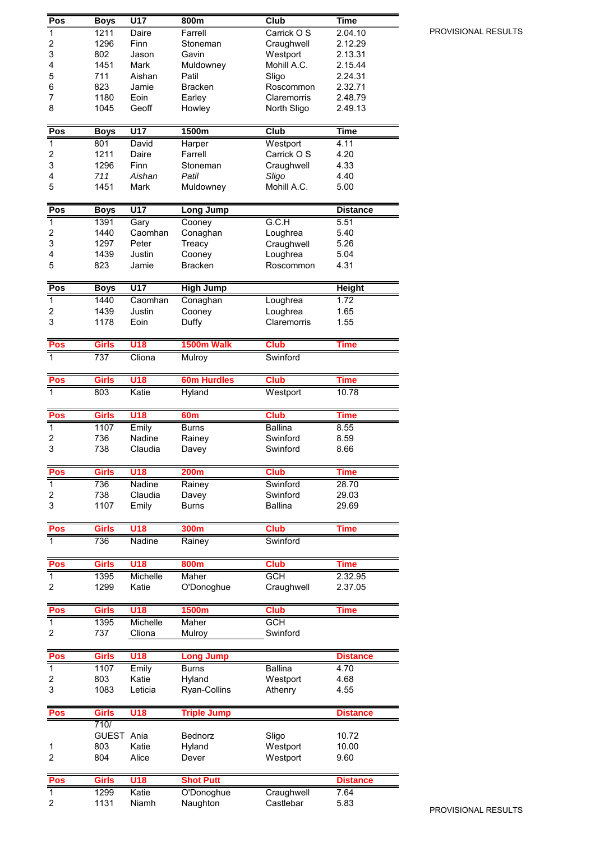| Pos                     | <b>Boys</b>  | U17            | 800m                   | Club                    | Time                   |
|-------------------------|--------------|----------------|------------------------|-------------------------|------------------------|
| $\overline{1}$          | 1211         | Daire          | Farrell                | Carrick O S             | 2.04.10                |
| $\overline{\mathbf{c}}$ | 1296         | Finn           | Stoneman               | Craughwell              | 2.12.29                |
| 3                       | 802          | Jason          | Gavin                  | Westport                | 2.13.31                |
| 4                       | 1451         | Mark           | Muldowney              | Mohill A.C.             | 2.15.44                |
| 5                       | 711          | Aishan         | Patil                  | Sligo                   | 2.24.31                |
| 6                       | 823          | Jamie          | <b>Bracken</b>         | Roscommon               | 2.32.71                |
| 7                       | 1180         | Eoin           | Earley                 | Claremorris             | 2.48.79                |
| 8                       | 1045         | Geoff          | Howley                 | North Sligo             | 2.49.13                |
|                         |              |                |                        |                         |                        |
| Pos                     | <b>Boys</b>  | U17            | 1500m                  | Club                    | <b>Time</b>            |
| $\overline{1}$          | 801          | David          | Harper                 | Westport                | 4.11                   |
| $\overline{\mathbf{c}}$ | 1211         | Daire          | Farrell                | Carrick O S             | 4.20                   |
| 3                       | 1296         | Finn           | Stoneman               | Craughwell              | 4.33                   |
| 4                       | 711          | Aishan         | Patil                  | Sligo                   | 4.40                   |
| 5                       | 1451         | Mark           | Muldowney              | Mohill A.C.             | 5.00                   |
|                         |              |                |                        |                         |                        |
| Pos                     | <b>Boys</b>  | U17            | <b>Long Jump</b>       |                         | <b>Distance</b>        |
| $\mathbf 1$             | 1391         | Gary           | Cooney                 | G.C.H                   | 5.51                   |
| $\overline{c}$          | 1440         | Caomhan        | Conaghan               | Loughrea                | 5.40                   |
| 3                       | 1297         | Peter          | Treacy                 | Craughwell              | 5.26                   |
| 4                       | 1439         | Justin         | Cooney                 | Loughrea                | 5.04                   |
| 5                       | 823          | Jamie          | <b>Bracken</b>         | Roscommon               | 4.31                   |
|                         |              |                |                        |                         |                        |
| Pos                     | <b>Boys</b>  | U17            | <b>High Jump</b>       |                         | <b>Height</b>          |
| $\overline{1}$          | 1440         | Caomhan        | Conaghan               | Loughrea                | 1.72                   |
| 2                       | 1439         | Justin         | Cooney                 | Loughrea                | 1.65                   |
| 3                       | 1178         | Eoin           | Duffy                  | Claremorris             | 1.55                   |
| Pos                     | <b>Girls</b> | <b>U18</b>     | 1500m Walk             | <b>Club</b>             | <b>Time</b>            |
| 1                       | 737          | Cliona         | Mulroy                 | Swinford                |                        |
|                         |              |                |                        |                         |                        |
| Pos                     | <b>Girls</b> | <b>U18</b>     | <b>60m Hurdles</b>     | <b>Club</b>             | <b>Time</b>            |
| 1                       | 803          | Katie          | <b>Hyland</b>          | Westport                | 10.78                  |
|                         |              |                |                        |                         |                        |
| Pos                     | <b>Girls</b> | U18            | 60 <sub>m</sub>        | <b>Club</b>             | <b>Time</b>            |
| $\mathbf{1}$            | 1107         | Emily          | <b>Burns</b>           | <b>Ballina</b>          | 8.55                   |
| 2                       | 736          | Nadine         | Rainey                 | Swinford                | 8.59                   |
| 3                       | 738          | Claudia        | Davey                  | Swinford                | 8.66                   |
|                         |              |                |                        |                         |                        |
| Pos                     | <b>Girls</b> | U18            | 200m                   | <b>Club</b>             | <b>Time</b>            |
| $\overline{1}$          | 736          | Nadine         | Rainey                 | Swinford                | 28.70                  |
| 2                       | 738          | Claudia        | Davey                  | Swinford                | 29.03                  |
| 3                       | 1107         | Emily          | <b>Burns</b>           | <b>Ballina</b>          | 29.69                  |
|                         |              |                |                        |                         |                        |
| Pos                     | <b>Girls</b> | U18            | 300m                   | <b>Club</b>             | <b>Time</b>            |
| 1                       | 736          | Nadine         | Rainey                 | Swinford                |                        |
|                         | Girls        | <b>U18</b>     |                        | <b>Club</b>             |                        |
| Pos<br>$\mathbf{1}$     | 1395         | Michelle       | 800m<br>Maher          | <b>GCH</b>              | <b>Time</b><br>2.32.95 |
| 2                       | 1299         | Katie          | O'Donoghue             | Craughwell              | 2.37.05                |
|                         |              |                |                        |                         |                        |
| Pos                     | <b>Girls</b> | U18            | <b>1500m</b>           | <b>Club</b>             | <b>Time</b>            |
| $\overline{1}$          | 1395         | Michelle       | Maher                  | <b>GCH</b>              |                        |
| 2                       | 737          | Cliona         | Mulroy                 | Swinford                |                        |
|                         |              |                |                        |                         |                        |
| Pos                     | <b>Girls</b> | <b>U18</b>     | <b>Long Jump</b>       |                         | <b>Distance</b>        |
| $\mathbf{1}$            | 1107         | Emily          | <b>Burns</b>           | <b>Ballina</b>          | 4.70                   |
| 2                       | 803          | Katie          | Hyland                 | Westport                | 4.68                   |
| 3                       | 1083         | Leticia        | Ryan-Collins           | Athenry                 | 4.55                   |
|                         |              |                |                        |                         |                        |
| Pos                     | <b>Girls</b> | U18            | <b>Triple Jump</b>     |                         | <b>Distance</b>        |
|                         | 710/         |                |                        |                         |                        |
|                         | <b>GUEST</b> | Ania           | Bednorz                | Sligo                   | 10.72                  |
| 1                       | 803          | Katie          | Hyland                 | Westport                | 10.00                  |
| $\overline{c}$          | 804          | Alice          | Dever                  | Westport                | 9.60                   |
|                         |              |                |                        |                         |                        |
| Pos                     | <b>Girls</b> | <b>U18</b>     | <b>Shot Putt</b>       |                         | <b>Distance</b>        |
| $\overline{1}$<br>2     | 1299<br>1131 | Katie<br>Niamh | O'Donoghue<br>Naughton | Craughwell<br>Castlebar | 7.64<br>5.83           |
|                         |              |                |                        |                         |                        |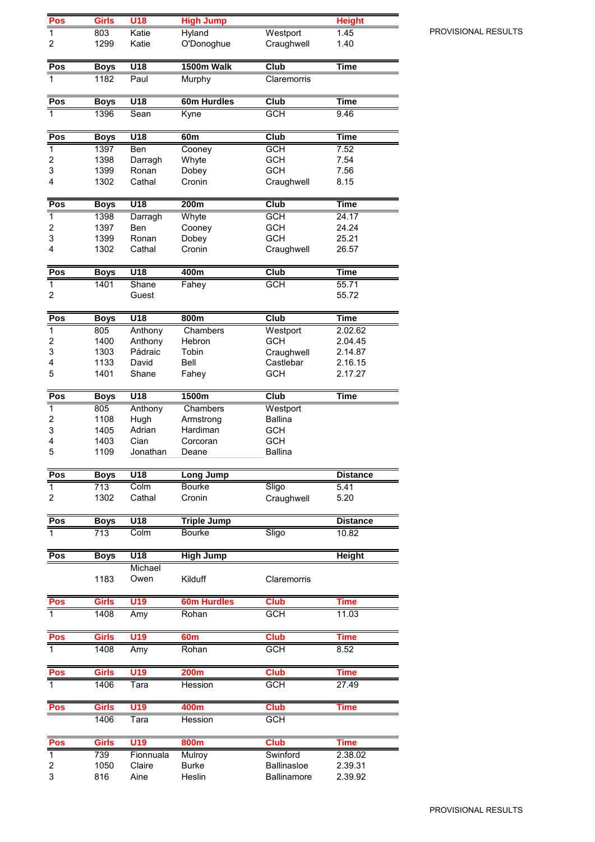| Pos                   | <b>Girls</b>        | U18                       | <b>High Jump</b>   |                          | <b>Height</b>        |
|-----------------------|---------------------|---------------------------|--------------------|--------------------------|----------------------|
| 1                     | 803                 | Katie                     | <b>Hyland</b>      | Westport                 | 1.45                 |
| 2                     | 1299                | Katie                     | O'Donoghue         | Craughwell               | 1.40                 |
| Pos                   | <b>Boys</b>         | $\overline{U18}$          | 1500m Walk         | $\overline{\text{Club}}$ | <b>Time</b>          |
| 1                     | 1182                | Paul                      | Murphy             | Claremorris              |                      |
| Pos                   | <b>Boys</b>         | U18                       | 60m Hurdles        | Club                     | <b>Time</b>          |
| 1                     | 1396                | Sean                      | Kyne               | <b>GCH</b>               | 9.46                 |
| Pos                   | <b>Boys</b>         | U18                       | 60 <sub>m</sub>    | Club                     | <b>Time</b>          |
| $\overline{1}$        | 1397                | Ben                       | Cooney             | <b>GCH</b>               | 7.52                 |
| 2                     | 1398                | Darragh                   | Whyte              | <b>GCH</b>               | 7.54                 |
| 3                     | 1399                | Ronan                     | Dobey              | <b>GCH</b>               | 7.56                 |
| 4                     | 1302                | Cathal                    | Cronin             | Craughwell               | 8.15                 |
| Pos                   | <b>Boys</b>         | U18                       | 200m               | Club                     | <b>Time</b>          |
| $\overline{1}$        | 1398                | Darragh                   | Whyte              | <b>GCH</b>               | 24.17                |
| 2                     | 1397                | Ben                       | Cooney             | <b>GCH</b>               | 24.24                |
| 3<br>4                | 1399                | Ronan<br>Cathal           | Dobey<br>Cronin    | <b>GCH</b>               | 25.21                |
|                       | 1302                |                           |                    | Craughwell               | 26.57                |
| Pos<br>$\overline{1}$ | <b>Boys</b><br>1401 | $\overline{U18}$<br>Shane | 400m               | Club<br><b>GCH</b>       | <b>Time</b><br>55.71 |
| 2                     |                     | Guest                     | Fahey              |                          | 55.72                |
| Pos                   | <b>Boys</b>         | U18                       | 800m               | Club                     | <b>Time</b>          |
| 1                     | 805                 | Anthony                   | Chambers           | Westport                 | 2.02.62              |
| 2<br>3                | 1400<br>1303        | Anthony<br>Pádraic        | Hebron<br>Tobin    | <b>GCH</b>               | 2.04.45<br>2.14.87   |
| 4                     | 1133                | David                     | Bell               | Craughwell<br>Castlebar  | 2.16.15              |
| 5                     | 1401                | Shane                     | Fahey              | <b>GCH</b>               | 2.17.27              |
| Pos                   | <b>Boys</b>         | U18                       | 1500m              | Club                     | <b>Time</b>          |
| $\mathbf{1}$          | 805                 | Anthony                   | Chambers           | Westport                 |                      |
| 2                     | 1108                | Hugh                      | Armstrong          | <b>Ballina</b>           |                      |
| 3                     | 1405                | Adrian                    | Hardiman           | <b>GCH</b>               |                      |
| 4                     | 1403                | Cian                      | Corcoran           | <b>GCH</b>               |                      |
| 5                     | 1109                | Jonathan                  | Deane              | <b>Ballina</b>           |                      |
| Pos                   | <b>Boys</b>         | $\overline{U18}$          | Long Jump          |                          | <b>Distance</b>      |
| $\mathbf{1}$          | 713                 | Colm                      | <b>Bourke</b>      | Sligo                    | 5.41                 |
| 2                     | 1302                | Cathal                    | Cronin             | Craughwell               | 5.20                 |
| Pos                   | <b>Boys</b>         | U18                       | <b>Triple Jump</b> |                          | <b>Distance</b>      |
| 1                     | 713                 | Colm                      | <b>Bourke</b>      | Sligo                    | 10.82                |
| Pos                   | <b>Boys</b>         | $\overline{U18}$          | <b>High Jump</b>   |                          | <b>Height</b>        |
|                       |                     | Michael                   |                    |                          |                      |
|                       | 1183                | Owen                      | Kilduff            | Claremorris              |                      |
| Pos                   | <b>Girls</b>        | U19                       | <b>60m Hurdles</b> | <b>Club</b>              | Time                 |
| 1                     | 1408                | Amy                       | Rohan              | <b>GCH</b>               | 11.03                |
| Pos                   | <b>Girls</b>        | U19                       | 60 <sub>m</sub>    | <b>Club</b>              | Time                 |
| $\overline{1}$        | 1408                | Amy                       | Rohan              | <b>GCH</b>               | 8.52                 |
| Pos                   | <b>Girls</b>        | U19                       | <b>200m</b>        | <b>Club</b>              | <b>Time</b>          |
| $\mathbf{1}$          | 1406                | Tara                      | Hession            | <b>GCH</b>               | 27.49                |
| <b>Pos</b>            | <b>Girls</b>        | U19                       | 400m               | <b>Club</b>              | Time                 |
|                       | 1406                | Tara                      | Hession            | <b>GCH</b>               |                      |
| Pos                   | <b>Girls</b>        | <b>U19</b>                | <b>800m</b>        | <b>Club</b>              | <b>Time</b>          |
| $\mathbf{1}$          | 739                 | Fionnuala                 | Mulroy             | Swinford                 | 2.38.02              |
| 2                     | 1050                | Claire                    | <b>Burke</b>       | <b>Ballinasloe</b>       | 2.39.31              |
| 3                     | 816                 | Aine                      | Heslin             | <b>Ballinamore</b>       | 2.39.92              |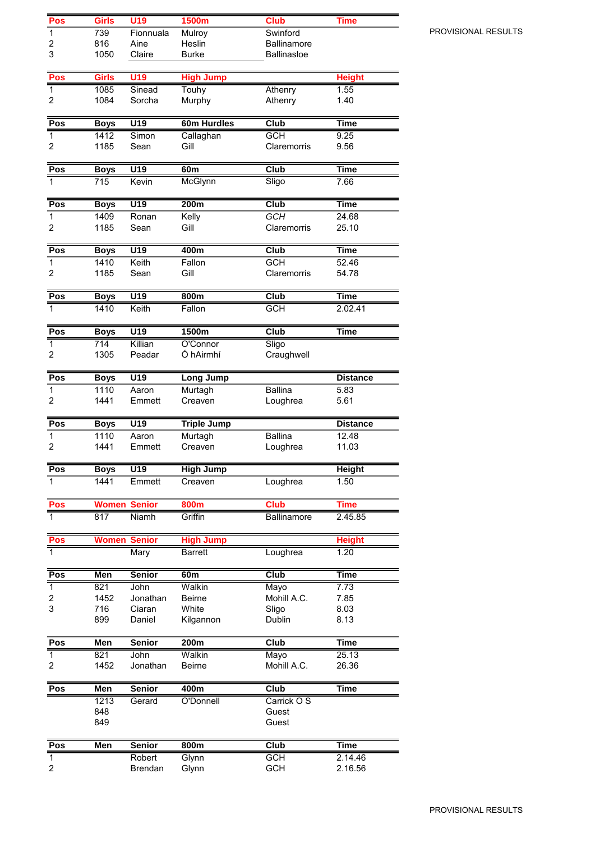| Pos               | Girls               | U19                | 1500m                       | <b>Club</b>               | Time            |
|-------------------|---------------------|--------------------|-----------------------------|---------------------------|-----------------|
| $\overline{1}$    | 739                 | Fionnuala          | Mulroy                      | Swinford                  |                 |
| 2                 | 816                 | Aine               | Heslin                      | <b>Ballinamore</b>        |                 |
| 3                 | 1050                | Claire             | <b>Burke</b>                | <b>Ballinasloe</b>        |                 |
|                   |                     |                    |                             |                           |                 |
| Pos               | Girls               | U19                | <b>High Jump</b>            |                           | <b>Height</b>   |
| $\mathbf{1}$      | 1085                | Sinead             | Touhy                       | Athenry                   | 1.55            |
| 2                 | 1084                | Sorcha             | Murphy                      | Athenry                   | 1.40            |
| Pos               | <b>Boys</b>         | U19                | 60m Hurdles                 | Club                      | Time            |
| $\overline{1}$    | 1412                | Simon              | Callaghan                   | <b>GCH</b>                | 9.25            |
| 2                 | 1185                | Sean               | Gill                        | Claremorris               | 9.56            |
|                   |                     |                    |                             |                           |                 |
| Pos               | <b>Boys</b>         | $\overline{U19}$   | 60m                         | <b>Club</b>               | <b>Time</b>     |
| $\mathbf{1}$      | 715                 | Kevin              | McGlynn                     | Sligo                     | 7.66            |
|                   |                     |                    |                             |                           |                 |
| Pos               | <b>Boys</b>         | $\overline{U19}$   | 200m                        | Club                      | <b>Time</b>     |
| $\mathbf{1}$      | 1409                | Ronan              | Kelly                       | GCH                       | 24.68           |
| 2                 | 1185                | Sean               | Gill                        | Claremorris               | 25.10           |
|                   |                     |                    |                             |                           |                 |
| Pos               | <b>Boys</b>         | U19                | 400m                        | Club                      | <b>Time</b>     |
| $\mathbf{1}$<br>2 | 1410<br>1185        | Keith<br>Sean      | Fallon<br>Gill              | <b>GCH</b><br>Claremorris | 52.46<br>54.78  |
|                   |                     |                    |                             |                           |                 |
| Pos               | <b>Boys</b>         | $\overline{U19}$   | 800m                        | Club                      | <b>Time</b>     |
| 1                 | 1410                | Keith              | Fallon                      | <b>GCH</b>                | 2.02.41         |
|                   |                     |                    |                             |                           |                 |
| Pos               | <b>Boys</b>         | U19                | 1500m                       | Club                      | <b>Time</b>     |
| 1                 | $\overline{714}$    | Killian            | O'Connor                    | Sligo                     |                 |
| 2                 | 1305                | Peadar             | Ó hAirmhí                   | Craughwell                |                 |
| Pos               |                     | U19                |                             |                           | <b>Distance</b> |
| $\mathbf{1}$      | <b>Boys</b><br>1110 | Aaron              | <b>Long Jump</b><br>Murtagh | <b>Ballina</b>            | 5.83            |
| 2                 | 1441                | Emmett             | Creaven                     | Loughrea                  | 5.61            |
|                   |                     |                    |                             |                           |                 |
| Pos               | <b>Boys</b>         | U19                | <b>Triple Jump</b>          |                           | <b>Distance</b> |
| $\mathbf{1}$      | 1110                | Aaron              | Murtagh                     | <b>Ballina</b>            | 12.48           |
| $\overline{c}$    | 1441                | Emmett             | Creaven                     | Loughrea                  | 11.03           |
|                   |                     |                    |                             |                           |                 |
| Pos               | <b>Boys</b>         | U19                | <b>High Jump</b>            |                           | <b>Height</b>   |
| 1                 | 1441                | Emmett             | Creaven                     | Loughrea                  | 1.50            |
| Pos               | <b>Women Senior</b> |                    | 800m                        | <b>Club</b>               | <b>Time</b>     |
| $\overline{1}$    | 817                 | Niamh              | Griffin                     | <b>Ballinamore</b>        | 2.45.85         |
|                   |                     |                    |                             |                           |                 |
| Pos               | <b>Women Senior</b> |                    | <b>High Jump</b>            |                           | <b>Height</b>   |
| $\mathbf{1}$      |                     | Mary               | <b>Barrett</b>              | Loughrea                  | 1.20            |
|                   |                     |                    |                             |                           |                 |
| Pos               | Men                 | <b>Senior</b>      | 60m                         | Club                      | Time            |
| $\overline{1}$    | 821                 | John               | Walkin                      | Mayo                      | 7.73            |
| 2<br>3            | 1452<br>716         | Jonathan<br>Ciaran | Beirne<br>White             | Mohill A.C.<br>Sligo      | 7.85<br>8.03    |
|                   | 899                 | Daniel             | Kilgannon                   | Dublin                    | 8.13            |
|                   |                     |                    |                             |                           |                 |
| Pos               | Men                 | <b>Senior</b>      | 200m                        | Club                      | <b>Time</b>     |
| $\overline{1}$    | 821                 | John               | Walkin                      | Mayo                      | 25.13           |
| 2                 | 1452                | Jonathan           | <b>Beirne</b>               | Mohill A.C.               | 26.36           |
|                   |                     |                    |                             |                           |                 |
| Pos               | Men                 | <b>Senior</b>      | 400m                        | Club                      | <b>Time</b>     |
|                   | 1213                | Gerard             | O'Donnell                   | Carrick O S               |                 |
|                   | 848<br>849          |                    |                             | Guest<br>Guest            |                 |
|                   |                     |                    |                             |                           |                 |
| Pos               | Men                 | <b>Senior</b>      | 800m                        | <b>Club</b>               | <b>Time</b>     |
| $\mathbf{1}$      |                     | Robert             | Glynn                       | <b>GCH</b>                | 2.14.46         |
| 2                 |                     | Brendan            | Glynn                       | <b>GCH</b>                | 2.16.56         |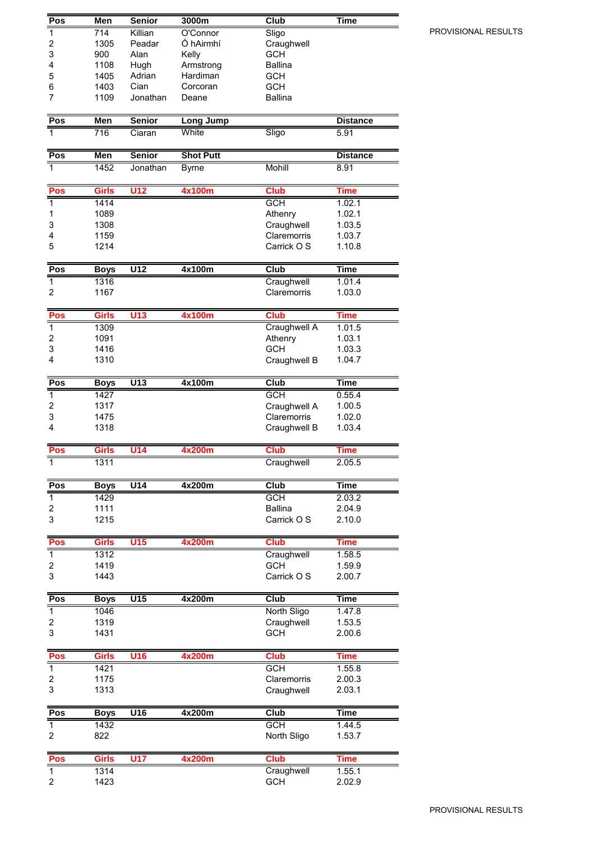| Pos                     | Men          | <b>Senior</b>    | 3000m            | Club           | Time            |
|-------------------------|--------------|------------------|------------------|----------------|-----------------|
| $\overline{\mathbf{1}}$ | 714          | Killian          | O'Connor         | Sligo          |                 |
| 2                       | 1305         | Peadar           | Ó hAirmhí        | Craughwell     |                 |
| 3                       | 900          | Alan             | Kelly            | <b>GCH</b>     |                 |
| 4                       | 1108         | Hugh             | Armstrong        | <b>Ballina</b> |                 |
| 5                       | 1405         | Adrian           | Hardiman         | <b>GCH</b>     |                 |
| 6                       | 1403         | Cian             | Corcoran         | <b>GCH</b>     |                 |
| 7                       | 1109         | Jonathan         | Deane            | <b>Ballina</b> |                 |
| Pos                     | Men          | <b>Senior</b>    | <b>Long Jump</b> |                | <b>Distance</b> |
| 1                       | 716          | Ciaran           | White            | Sligo          | 5.91            |
|                         |              |                  |                  |                |                 |
| Pos                     | <b>Men</b>   | <b>Senior</b>    | <b>Shot Putt</b> |                | <b>Distance</b> |
| $\overline{1}$          | 1452         | Jonathan         | <b>Byrne</b>     | <b>Mohill</b>  | 8.91            |
| Pos                     | <b>Girls</b> | <b>U12</b>       | 4x100m           | <b>Club</b>    | <b>Time</b>     |
| $\overline{1}$          | 1414         |                  |                  | <b>GCH</b>     | 1.02.1          |
| 1                       | 1089         |                  |                  | Athenry        | 1.02.1          |
| 3                       | 1308         |                  |                  | Craughwell     | 1.03.5          |
| 4                       | 1159         |                  |                  | Claremorris    | 1.03.7          |
| 5                       | 1214         |                  |                  | Carrick O S    | 1.10.8          |
| Pos                     | <b>Boys</b>  | $\overline{U12}$ | 4x100m           | Club           | <b>Time</b>     |
| $\mathbf{1}$            | 1316         |                  |                  | Craughwell     | 1.01.4          |
| 2                       | 1167         |                  |                  | Claremorris    | 1.03.0          |
| Pos                     | Girls        | U13              | 4x100m           | <b>Club</b>    | <b>Time</b>     |
| $\overline{\mathbf{1}}$ | 1309         |                  |                  | Craughwell A   | 1.01.5          |
| $\overline{\mathbf{c}}$ | 1091         |                  |                  | Athenry        | 1.03.1          |
| 3                       | 1416         |                  |                  | <b>GCH</b>     | 1.03.3          |
| 4                       | 1310         |                  |                  | Craughwell B   | 1.04.7          |
| Pos                     | <b>Boys</b>  | $\overline{U13}$ | 4x100m           | Club           | <b>Time</b>     |
| $\overline{1}$          | 1427         |                  |                  | <b>GCH</b>     | 0.55.4          |
| $\overline{c}$          | 1317         |                  |                  | Craughwell A   | 1.00.5          |
| 3                       | 1475         |                  |                  | Claremorris    | 1.02.0          |
| 4                       | 1318         |                  |                  | Craughwell B   | 1.03.4          |
| Pos                     | <b>Girls</b> | <b>U14</b>       | 4x200m           | <b>Club</b>    | <b>Time</b>     |
| 1                       | 1311         |                  |                  | Craughwell     | 2.05.5          |
| Pos                     | <b>Boys</b>  | U14              | 4x200m           | Club           | Time            |
| $\overline{1}$          | 1429         |                  |                  | <b>GCH</b>     | 2.03.2          |
| 2                       | 1111         |                  |                  | <b>Ballina</b> | 2.04.9          |
| $\mathsf 3$             | 1215         |                  |                  | Carrick O S    | 2.10.0          |
| Pos                     | <b>Girls</b> | <b>U15</b>       | 4x200m           | <b>Club</b>    | Time            |
| $\overline{1}$          | 1312         |                  |                  | Craughwell     | 1.58.5          |
| 2                       | 1419         |                  |                  | <b>GCH</b>     | 1.59.9          |
| 3                       | 1443         |                  |                  | Carrick O S    | 2.00.7          |
| Pos                     | <b>Boys</b>  | U15              | 4x200m           | <b>Club</b>    | <b>Time</b>     |
| $\overline{1}$          | 1046         |                  |                  | North Sligo    | 1.47.8          |
| 2                       | 1319         |                  |                  | Craughwell     | 1.53.5          |
| 3                       | 1431         |                  |                  | <b>GCH</b>     | 2.00.6          |
| Pos                     | <b>Girls</b> | U <sub>16</sub>  | 4x200m           | <b>Club</b>    | <b>Time</b>     |
| $\overline{1}$          | 1421         |                  |                  | <b>GCH</b>     | 1.55.8          |
| 2                       | 1175         |                  |                  | Claremorris    | 2.00.3          |
| 3                       | 1313         |                  |                  | Craughwell     | 2.03.1          |
| Pos                     | <b>Boys</b>  | U16              | 4x200m           | Club           | <b>Time</b>     |
| $\mathbf{1}$            | 1432         |                  |                  | <b>GCH</b>     | 1.44.5          |
| 2                       | 822          |                  |                  | North Sligo    | 1.53.7          |
| Pos                     | Girls        | <b>U17</b>       | 4x200m           | <b>Club</b>    | Time            |
| $\overline{1}$          | 1314         |                  |                  | Craughwell     | 1.55.1          |
| $\overline{\mathbf{c}}$ | 1423         |                  |                  | <b>GCH</b>     | 2.02.9          |